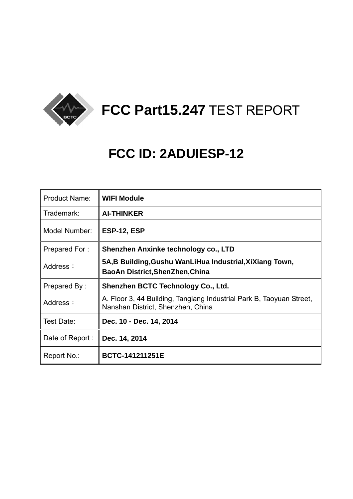

# **FCC Part15.247** TEST REPORT

# **FCC ID: 2ADUIESP-12**

| <b>Product Name:</b> | <b>WIFI Module</b>                                                                                        |
|----------------------|-----------------------------------------------------------------------------------------------------------|
| Trademark:           | <b>AI-THINKER</b>                                                                                         |
| Model Number:        | ESP-12, ESP                                                                                               |
| Prepared For:        | Shenzhen Anxinke technology co., LTD                                                                      |
| Address:             | 5A,B Building, Gushu WanLiHua Industrial, XiXiang Town,<br><b>BaoAn District, ShenZhen, China</b>         |
| Prepared By:         | Shenzhen BCTC Technology Co., Ltd.                                                                        |
| Address:             | A. Floor 3, 44 Building, Tanglang Industrial Park B, Taoyuan Street,<br>Nanshan District, Shenzhen, China |
| Test Date:           | Dec. 10 - Dec. 14, 2014                                                                                   |
| Date of Report:      | Dec. 14, 2014                                                                                             |
| Report No.:          | <b>BCTC-141211251E</b>                                                                                    |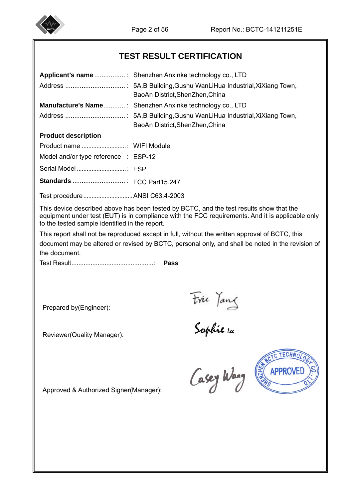

I

# **TEST RESULT CERTIFICATION**

|                                                | BaoAn District, ShenZhen, China                                                                                                                                                                    |
|------------------------------------------------|----------------------------------------------------------------------------------------------------------------------------------------------------------------------------------------------------|
|                                                | <b>Manufacture's Name: Shenzhen Anxinke technology co., LTD</b>                                                                                                                                    |
|                                                | BaoAn District, ShenZhen, China                                                                                                                                                                    |
| <b>Product description</b>                     |                                                                                                                                                                                                    |
|                                                |                                                                                                                                                                                                    |
| Model and/or type reference : ESP-12           |                                                                                                                                                                                                    |
|                                                |                                                                                                                                                                                                    |
|                                                |                                                                                                                                                                                                    |
| Test procedure ANSI C63.4-2003                 |                                                                                                                                                                                                    |
| to the tested sample identified in the report. | This device described above has been tested by BCTC, and the test results show that the<br>equipment under test (EUT) is in compliance with the FCC requirements. And it is applicable only        |
| the document.                                  | This report shall not be reproduced except in full, without the written approval of BCTC, this<br>document may be altered or revised by BCTC, personal only, and shall be noted in the revision of |
|                                                | Pass                                                                                                                                                                                               |
|                                                |                                                                                                                                                                                                    |
|                                                |                                                                                                                                                                                                    |
| Prepared by(Engineer):                         |                                                                                                                                                                                                    |
| Reviewer(Quality Manager):                     | Frie Tang<br>Sophie la                                                                                                                                                                             |
| Approved & Authorized Signer(Manager):         | ECHNO<br><b>SHTKS</b><br><b>APPROVED</b><br>Casey Wang                                                                                                                                             |
|                                                |                                                                                                                                                                                                    |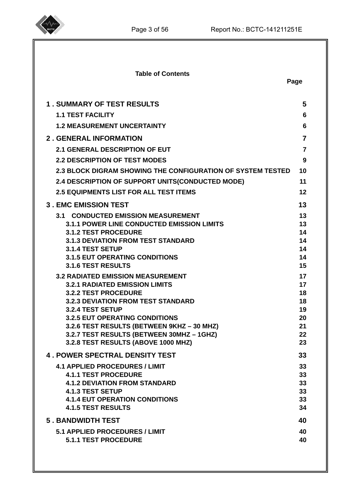

| <b>Table of Contents</b>                                                          | Page           |
|-----------------------------------------------------------------------------------|----------------|
| <b>1. SUMMARY OF TEST RESULTS</b>                                                 | 5              |
| <b>1.1 TEST FACILITY</b>                                                          | 6              |
| <b>1.2 MEASUREMENT UNCERTAINTY</b>                                                | 6              |
| <b>2. GENERAL INFORMATION</b>                                                     | $\overline{7}$ |
| 2.1 GENERAL DESCRIPTION OF EUT                                                    | $\overline{7}$ |
| <b>2.2 DESCRIPTION OF TEST MODES</b>                                              | 9              |
| <b>2.3 BLOCK DIGRAM SHOWING THE CONFIGURATION OF SYSTEM TESTED</b>                | 10             |
| 2.4 DESCRIPTION OF SUPPORT UNITS(CONDUCTED MODE)                                  | 11             |
| <b>2.5 EQUIPMENTS LIST FOR ALL TEST ITEMS</b>                                     | 12             |
| <b>3. EMC EMISSION TEST</b>                                                       | 13             |
| <b>3.1 CONDUCTED EMISSION MEASUREMENT</b>                                         | 13             |
| <b>3.1.1 POWER LINE CONDUCTED EMISSION LIMITS</b>                                 | 13             |
| <b>3.1.2 TEST PROCEDURE</b><br><b>3.1.3 DEVIATION FROM TEST STANDARD</b>          | 14<br>14       |
| 3.1.4 TEST SETUP                                                                  | 14             |
| <b>3.1.5 EUT OPERATING CONDITIONS</b>                                             | 14             |
| <b>3.1.6 TEST RESULTS</b>                                                         | 15             |
| <b>3.2 RADIATED EMISSION MEASUREMENT</b><br><b>3.2.1 RADIATED EMISSION LIMITS</b> | 17<br>17       |
| <b>3.2.2 TEST PROCEDURE</b>                                                       | 18             |
| <b>3.2.3 DEVIATION FROM TEST STANDARD</b>                                         | 18             |
| 3.2.4 TEST SETUP<br><b>3.2.5 EUT OPERATING CONDITIONS</b>                         | 19<br>20       |
| 3.2.6 TEST RESULTS (BETWEEN 9KHZ - 30 MHZ)                                        | 21             |
| 3.2.7 TEST RESULTS (BETWEEN 30MHZ - 1GHZ)                                         | 22             |
| 3.2.8 TEST RESULTS (ABOVE 1000 MHZ)                                               | 23             |
| <b>4. POWER SPECTRAL DENSITY TEST</b>                                             | 33             |
| <b>4.1 APPLIED PROCEDURES / LIMIT</b>                                             | 33             |
| <b>4.1.1 TEST PROCEDURE</b>                                                       | 33             |
| <b>4.1.2 DEVIATION FROM STANDARD</b><br><b>4.1.3 TEST SETUP</b>                   | 33<br>33       |
| <b>4.1.4 EUT OPERATION CONDITIONS</b>                                             | 33             |
| <b>4.1.5 TEST RESULTS</b>                                                         | 34             |
| <b>5. BANDWIDTH TEST</b>                                                          | 40             |
| <b>5.1 APPLIED PROCEDURES / LIMIT</b>                                             | 40             |
| <b>5.1.1 TEST PROCEDURE</b>                                                       | 40             |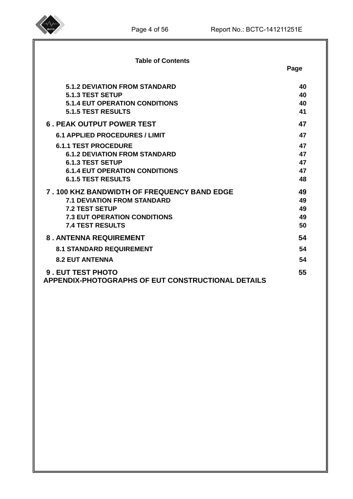

| <b>Table of Contents</b>                                                       | Page |
|--------------------------------------------------------------------------------|------|
| <b>5.1.2 DEVIATION FROM STANDARD</b>                                           | 40   |
| 5.1.3 TEST SETUP                                                               | 40   |
| <b>5.1.4 EUT OPERATION CONDITIONS</b>                                          | 40   |
| <b>5.1.5 TEST RESULTS</b>                                                      | 41   |
| <b>6. PEAK OUTPUT POWER TEST</b>                                               | 47   |
| <b>6.1 APPLIED PROCEDURES / LIMIT</b>                                          | 47   |
| <b>6.1.1 TEST PROCEDURE</b>                                                    | 47   |
| <b>6.1.2 DEVIATION FROM STANDARD</b>                                           | 47   |
| <b>6.1.3 TEST SETUP</b>                                                        | 47   |
| <b>6.1.4 EUT OPERATION CONDITIONS</b>                                          | 47   |
| <b>6.1.5 TEST RESULTS</b>                                                      | 48   |
| 7.100 KHZ BANDWIDTH OF FREQUENCY BAND EDGE                                     | 49   |
| <b>7.1 DEVIATION FROM STANDARD</b>                                             | 49   |
| <b>7.2 TEST SETUP</b>                                                          | 49   |
| <b>7.3 EUT OPERATION CONDITIONS</b>                                            | 49   |
| <b>7.4 TEST RESULTS</b>                                                        | 50   |
| <b>8. ANTENNA REQUIREMENT</b>                                                  | 54   |
| <b>8.1 STANDARD REQUIREMENT</b>                                                | 54   |
| <b>8.2 EUT ANTENNA</b>                                                         | 54   |
| 9. EUT TEST PHOTO<br><b>APPENDIX-PHOTOGRAPHS OF EUT CONSTRUCTIONAL DETAILS</b> | 55   |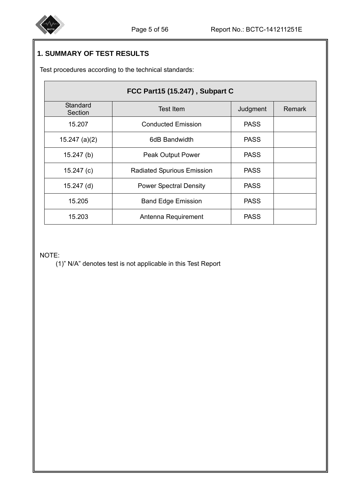

# **1. SUMMARY OF TEST RESULTS**

Test procedures according to the technical standards:

| FCC Part15 (15.247), Subpart C |                                   |             |               |  |
|--------------------------------|-----------------------------------|-------------|---------------|--|
| Standard<br>Section            | <b>Test Item</b>                  | Judgment    | <b>Remark</b> |  |
| 15.207                         | <b>Conducted Emission</b>         | <b>PASS</b> |               |  |
| $15.247$ (a)(2)                | 6dB Bandwidth                     | <b>PASS</b> |               |  |
| 15.247(b)                      | Peak Output Power                 | <b>PASS</b> |               |  |
| 15.247 $(c)$                   | <b>Radiated Spurious Emission</b> | <b>PASS</b> |               |  |
| $15.247$ (d)                   | <b>Power Spectral Density</b>     | <b>PASS</b> |               |  |
| 15.205                         | <b>Band Edge Emission</b>         | <b>PASS</b> |               |  |
| 15.203                         | Antenna Requirement               | <b>PASS</b> |               |  |

#### NOTE:

(1)" N/A" denotes test is not applicable in this Test Report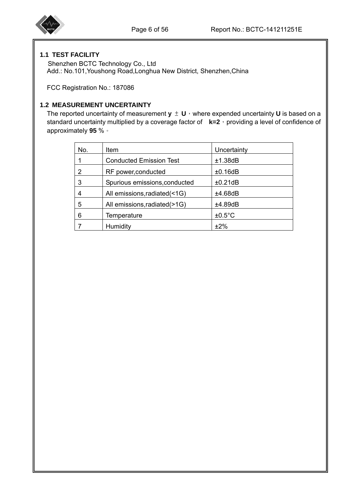#### **1.1 TEST FACILITY**

 Shenzhen BCTC Technology Co., Ltd Add.: No.101,Youshong Road,Longhua New District, Shenzhen,China

FCC Registration No.: 187086

#### **1.2 MEASUREMENT UNCERTAINTY**

The reported uncertainty of measurement  $y \pm U$ , where expended uncertainty U is based on a standard uncertainty multiplied by a coverage factor of **k=2**, providing a level of confidence of approximately **95** %。

| No. | <b>Item</b>                    | Uncertainty      |
|-----|--------------------------------|------------------|
|     | <b>Conducted Emission Test</b> | ±1.38dB          |
| 2   | RF power, conducted            | ±0.16dB          |
| 3   | Spurious emissions, conducted  | ±0.21dB          |
|     | All emissions, radiated (<1G)  | ±4.68dB          |
| 5   | All emissions, radiated (>1G)  | ±4.89dB          |
| 6   | Temperature                    | $±0.5^{\circ}$ C |
|     | Humidity                       | ±2%              |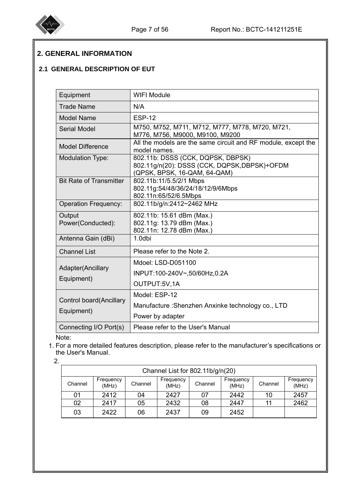

# **2. GENERAL INFORMATION**

## **2.1 GENERAL DESCRIPTION OF EUT**

| Equipment                       | <b>WIFI Module</b>                                                                                                |
|---------------------------------|-------------------------------------------------------------------------------------------------------------------|
| <b>Trade Name</b>               | N/A                                                                                                               |
| <b>Model Name</b>               | <b>ESP-12</b>                                                                                                     |
| <b>Serial Model</b>             | M750, M752, M711, M712, M777, M778, M720, M721,<br>M776, M756, M9000, M9100, M9200                                |
| <b>Model Difference</b>         | All the models are the same circuit and RF module, except the<br>model names.                                     |
| <b>Modulation Type:</b>         | 802.11b: DSSS (CCK, DQPSK, DBPSK)<br>802.11g/n(20): DSSS (CCK, DQPSK, DBPSK)+OFDM<br>(QPSK, BPSK, 16-QAM, 64-QAM) |
| <b>Bit Rate of Transmitter</b>  | 802.11b:11/5.5/2/1 Mbps<br>802.11g:54/48/36/24/18/12/9/6Mbps<br>802.11n:65/52/6.5Mbps                             |
| <b>Operation Frequency:</b>     | 802.11b/g/n:2412~2462 MHz                                                                                         |
| Output<br>Power(Conducted):     | 802.11b: 15.61 dBm (Max.)<br>802.11g: 13.79 dBm (Max.)<br>802.11n: 12.78 dBm (Max.)                               |
| Antenna Gain (dBi)              | 1.0dbi                                                                                                            |
| <b>Channel List</b>             | Please refer to the Note 2.                                                                                       |
| Adapter(Ancillary<br>Equipment) | Mdoel: LSD-D051100<br>INPUT:100-240V~,50/60Hz,0.2A<br>OUTPUT:5V,1A                                                |
| <b>Control board</b> (Ancillary | Model: ESP-12                                                                                                     |
| Equipment)                      | Manufacture: Shenzhen Anxinke technology co., LTD<br>Power by adapter                                             |
| Connecting I/O Port(s)          | Please refer to the User's Manual                                                                                 |

Note:

1. For a more detailed features description, please refer to the manufacturer's specifications or the User's Manual.

| 2. |         |                    |         |                                  |         |                    |         |                    |
|----|---------|--------------------|---------|----------------------------------|---------|--------------------|---------|--------------------|
|    |         |                    |         | Channel List for 802.11b/g/n(20) |         |                    |         |                    |
|    | Channel | Frequency<br>(MHz) | Channel | Frequency<br>(MHz)               | Channel | Frequency<br>(MHz) | Channel | Frequency<br>(MHz) |
|    | 01      | 2412               | 04      | 2427                             | 07      | 2442               | 10      | 2457               |
|    | 02      | 2417               | 05      | 2432                             | 08      | 2447               |         | 2462               |
|    | 03      | 2422               | 06      | 2437                             | 09      | 2452               |         |                    |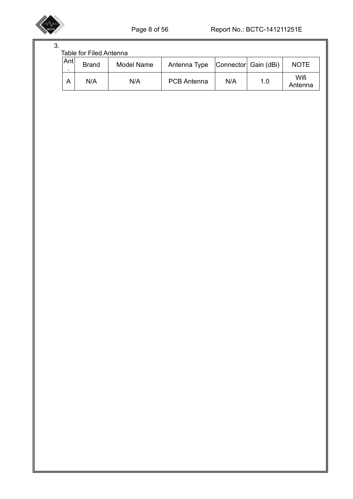

| 3. |     |                                |            |                    |     |                      |                 |
|----|-----|--------------------------------|------------|--------------------|-----|----------------------|-----------------|
|    |     | <b>Table for Filed Antenna</b> |            |                    |     |                      |                 |
|    | Ant | <b>Brand</b>                   | Model Name | Antenna Type       |     | Connector Gain (dBi) | <b>NOTE</b>     |
|    | A   | N/A                            | N/A        | <b>PCB Antenna</b> | N/A | 1.0                  | Wifi<br>Antenna |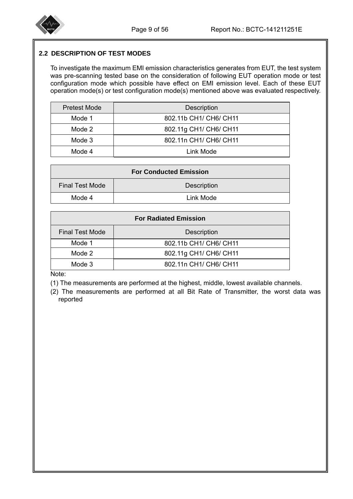

#### **2.2 DESCRIPTION OF TEST MODES**

To investigate the maximum EMI emission characteristics generates from EUT, the test system was pre-scanning tested base on the consideration of following EUT operation mode or test configuration mode which possible have effect on EMI emission level. Each of these EUT operation mode(s) or test configuration mode(s) mentioned above was evaluated respectively.

| <b>Pretest Mode</b> | Description            |
|---------------------|------------------------|
| Mode 1              | 802.11b CH1/ CH6/ CH11 |
| Mode 2              | 802.11g CH1/ CH6/ CH11 |
| Mode 3              | 802.11n CH1/ CH6/ CH11 |
| Mode 4              | Link Mode              |

| <b>For Conducted Emission</b> |                    |  |
|-------------------------------|--------------------|--|
| <b>Final Test Mode</b>        | <b>Description</b> |  |
| Mode 4                        | Link Mode          |  |

| <b>For Radiated Emission</b> |                        |  |  |
|------------------------------|------------------------|--|--|
| <b>Final Test Mode</b>       | <b>Description</b>     |  |  |
| Mode 1                       | 802.11b CH1/ CH6/ CH11 |  |  |
| Mode 2                       | 802.11g CH1/ CH6/ CH11 |  |  |
| Mode 3                       | 802.11n CH1/ CH6/ CH11 |  |  |

Note:

(1) The measurements are performed at the highest, middle, lowest available channels.

(2) The measurements are performed at all Bit Rate of Transmitter, the worst data was reported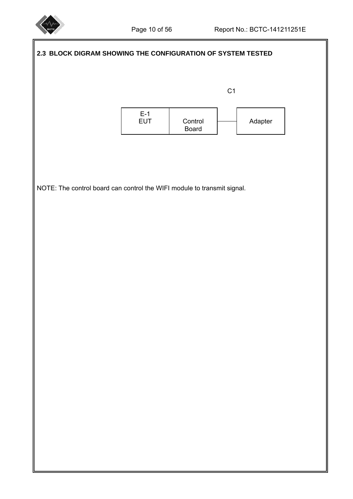

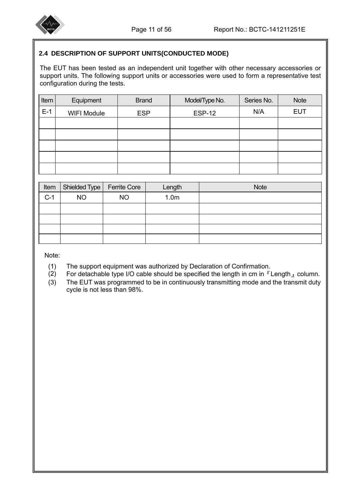

#### **2.4 DESCRIPTION OF SUPPORT UNITS(CONDUCTED MODE)**

The EUT has been tested as an independent unit together with other necessary accessories or support units. The following support units or accessories were used to form a representative test configuration during the tests.

| Item  | Equipment          | <b>Brand</b> | Model/Type No. | Series No. | <b>Note</b> |
|-------|--------------------|--------------|----------------|------------|-------------|
| $E-1$ | <b>WIFI Module</b> | <b>ESP</b>   | <b>ESP-12</b>  | N/A        | <b>EUT</b>  |
|       |                    |              |                |            |             |
|       |                    |              |                |            |             |
|       |                    |              |                |            |             |
|       |                    |              |                |            |             |
|       |                    |              |                |            |             |

| Item  |           | Shielded Type   Ferrite Core | Length           | <b>Note</b> |
|-------|-----------|------------------------------|------------------|-------------|
| $C-1$ | <b>NO</b> | <b>NO</b>                    | 1.0 <sub>m</sub> |             |
|       |           |                              |                  |             |
|       |           |                              |                  |             |
|       |           |                              |                  |             |
|       |           |                              |                  |             |

Note:

- (1) The support equipment was authorized by Declaration of Confirmation.
- (2) For detachable type I/O cable should be specified the length in cm in  $\sqrt{r}$  Length  $\sqrt{r}$  column.
- (3) The EUT was programmed to be in continuously transmitting mode and the transmit duty cycle is not less than 98%.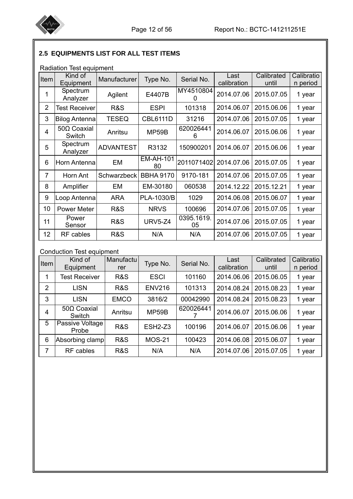

# **2.5 EQUIPMENTS LIST FOR ALL TEST ITEMS**

|                 | Radiation Test equipment |                  |                        |                  |                     |                     |                        |
|-----------------|--------------------------|------------------|------------------------|------------------|---------------------|---------------------|------------------------|
| Item            | Kind of<br>Equipment     | Manufacturer     | Type No.               | Serial No.       | Last<br>calibration | Calibrated<br>until | Calibratio<br>n period |
| 1               | Spectrum<br>Analyzer     | Agilent          | E4407B                 | MY4510804<br>0   | 2014.07.06          | 2015.07.05          | 1 year                 |
| $\overline{2}$  | <b>Test Receiver</b>     | R&S              | <b>ESPI</b>            | 101318           | 2014.06.07          | 2015.06.06          | 1 year                 |
| 3               | <b>Bilog Antenna</b>     | <b>TESEQ</b>     | <b>CBL6111D</b>        | 31216            | 2014.07.06          | 2015.07.05          | 1 year                 |
| $\overline{4}$  | 500 Coaxial<br>Switch    | Anritsu          | MP59B                  | 620026441<br>6   | 2014.06.07          | 2015.06.06          | 1 year                 |
| 5               | Spectrum<br>Analyzer     | <b>ADVANTEST</b> | R3132                  | 150900201        | 2014.06.07          | 2015.06.06          | 1 year                 |
| 6               | Horn Antenna             | EM               | <b>EM-AH-101</b><br>80 | 2011071402       | 2014.07.06          | 2015.07.05          | 1 year                 |
| $\overline{7}$  | Horn Ant                 | Schwarzbeck      | <b>BBHA 9170</b>       | 9170-181         | 2014.07.06          | 2015.07.05          | 1 year                 |
| 8               | Amplifier                | EM               | EM-30180               | 060538           | 2014.12.22          | 2015.12.21          | 1 year                 |
| 9               | Loop Antenna             | <b>ARA</b>       | PLA-1030/B             | 1029             | 2014.06.08          | 2015.06.07          | 1 year                 |
| 10              | <b>Power Meter</b>       | R&S              | <b>NRVS</b>            | 100696           | 2014.07.06          | 2015.07.05          | 1 year                 |
| 11              | Power<br>Sensor          | R&S              | <b>URV5-Z4</b>         | 0395.1619.<br>05 | 2014.07.06          | 2015.07.05          | 1 year                 |
| 12 <sub>2</sub> | RF cables                | R&S              | N/A                    | N/A              | 2014.07.06          | 2015.07.05          | 1 year                 |

## Conduction Test equipment

| Item           | Kind of<br>Equipment         | Manufactu<br>rer | Type No.       | Serial No. | Last<br>calibration | Calibrated<br>until | Calibratio<br>n period |
|----------------|------------------------------|------------------|----------------|------------|---------------------|---------------------|------------------------|
| 1              | <b>Test Receiver</b>         | R&S              | <b>ESCI</b>    | 101160     | 2014.06.06          | 2015.06.05          | 1 year                 |
| $\overline{2}$ | <b>LISN</b>                  | R&S              | <b>ENV216</b>  | 101313     | 2014.08.24          | 2015.08.23          | 1 year                 |
| 3              | <b>LISN</b>                  | <b>EMCO</b>      | 3816/2         | 00042990   | 2014.08.24          | 2015.08.23          | 1 year                 |
| $\overline{4}$ | $50\Omega$ Coaxial<br>Switch | Anritsu          | MP59B          | 620026441  | 2014.06.07          | 2015.06.06          | 1 year                 |
| 5              | Passive Voltage<br>Probe     | <b>R&amp;S</b>   | <b>ESH2-Z3</b> | 100196     | 2014.06.07          | 2015.06.06          | 1 year                 |
| 6              | Absorbing clamp              | R&S              | <b>MOS-21</b>  | 100423     | 2014.06.08          | 2015.06.07          | 1 year                 |
| 7              | RF cables                    | R&S              | N/A            | N/A        | 2014.07.06          | 2015.07.05          | 1 year                 |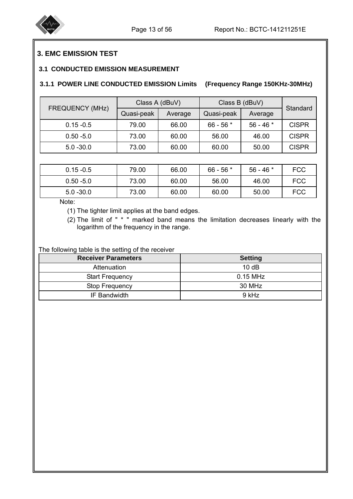

## **3. EMC EMISSION TEST**

#### **3.1 CONDUCTED EMISSION MEASUREMENT**

#### **3.1.1 POWER LINE CONDUCTED EMISSION Limits (Frequency Range 150KHz-30MHz)**

|                        | Class A (dBuV) |         | Class B (dBuV) |            | Standard     |
|------------------------|----------------|---------|----------------|------------|--------------|
| <b>FREQUENCY (MHz)</b> | Quasi-peak     | Average | Quasi-peak     | Average    |              |
| $0.15 - 0.5$           | 79.00          | 66.00   | $66 - 56$ *    | $56 - 46*$ | <b>CISPR</b> |
| $0.50 - 5.0$           | 73.00          | 60.00   | 56.00          | 46.00      | <b>CISPR</b> |
| $5.0 - 30.0$           | 73.00          | 60.00   | 60.00          | 50.00      | <b>CISPR</b> |

| $0.15 - 0.5$ | 79.00 | 66.00 | $66 - 56$ * | $56 - 46*$ | <b>FCC</b> |
|--------------|-------|-------|-------------|------------|------------|
| $0.50 - 5.0$ | 73.00 | 60.00 | 56.00       | 46.00      | FCC        |
| $5.0 - 30.0$ | 73.00 | 60.00 | 60.00       | 50.00      | <b>FCC</b> |

Note:

I

(1) The tighter limit applies at the band edges.

 (2) The limit of " \* " marked band means the limitation decreases linearly with the logarithm of the frequency in the range.

The following table is the setting of the receiver

| <b>Receiver Parameters</b> | <b>Setting</b> |
|----------------------------|----------------|
| Attenuation                | 10dB           |
| <b>Start Frequency</b>     | $0.15$ MHz     |
| <b>Stop Frequency</b>      | 30 MHz         |
| IF Bandwidth               | 9 kHz          |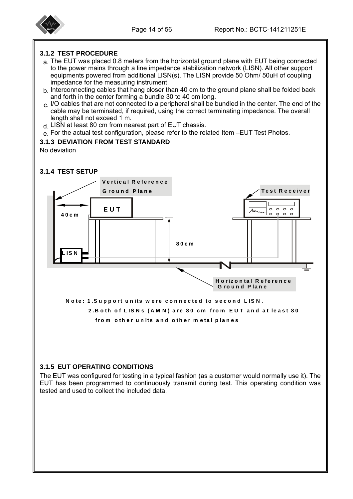

#### **3.1.2 TEST PROCEDURE**

- a. The EUT was placed 0.8 meters from the horizontal ground plane with EUT being connected to the power mains through a line impedance stabilization network (LISN). All other support equipments powered from additional LISN(s). The LISN provide 50 Ohm/ 50uH of coupling impedance for the measuring instrument.
- b. Interconnecting cables that hang closer than 40 cm to the ground plane shall be folded back and forth in the center forming a bundle 30 to 40 cm long.
- c. I/O cables that are not connected to a peripheral shall be bundled in the center. The end of the cable may be terminated, if required, using the correct terminating impedance. The overall length shall not exceed 1 m.
- d. LISN at least 80 cm from nearest part of EUT chassis.
- e. For the actual test configuration, please refer to the related Item -EUT Test Photos.

#### **3.1.3 DEVIATION FROM TEST STANDARD**

No deviation

#### **3.1.4 TEST SETUP**



 **2.B o th o f L IS N s (A M N ) are 80 cm fro m E U T an d at le ast 80**

from other units and other metal planes

#### **3.1.5 EUT OPERATING CONDITIONS**

The EUT was configured for testing in a typical fashion (as a customer would normally use it). The EUT has been programmed to continuously transmit during test. This operating condition was tested and used to collect the included data.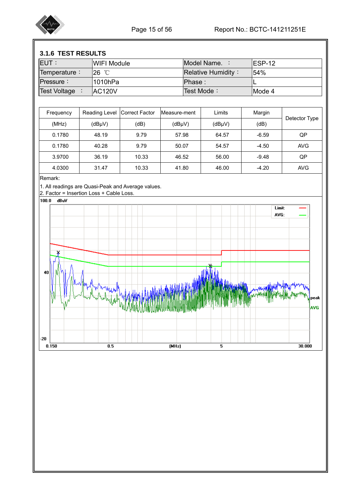

## **3.1.6 TEST RESULTS**

| <b>EUT:</b>  | IWIFI Module   | Model Name. :             | IESP-12 |
|--------------|----------------|---------------------------|---------|
| Temperature: | 26 °C          | <b>Relative Humidity:</b> | 154%    |
| $P$ ressure: | l1010hPa       | IPhase :                  |         |
| Test Voltage | <b>IAC120V</b> | Test Mode:                | IMode 4 |
|              |                |                           |         |

| Frequency | Reading Level | Correct Factor | Measure-ment | Limits              | Margin  |               |
|-----------|---------------|----------------|--------------|---------------------|---------|---------------|
| (MHz)     | $(dB\mu V)$   | (dB)           | $(dB\mu V)$  | (dB <sub>µ</sub> V) | (dB)    | Detector Type |
| 0.1780    | 48.19         | 9.79           | 57.98        | 64.57               | $-6.59$ | QP            |
| 0.1780    | 40.28         | 9.79           | 50.07        | 54.57               | $-4.50$ | <b>AVG</b>    |
| 3.9700    | 36.19         | 10.33          | 46.52        | 56.00               | $-9.48$ | QP            |
| 4.0300    | 31.47         | 10.33          | 41.80        | 46.00               | $-4.20$ | <b>AVG</b>    |

Remark:

1. All readings are Quasi-Peak and Average values.

2. Factor = Insertion Loss + Cable Loss.

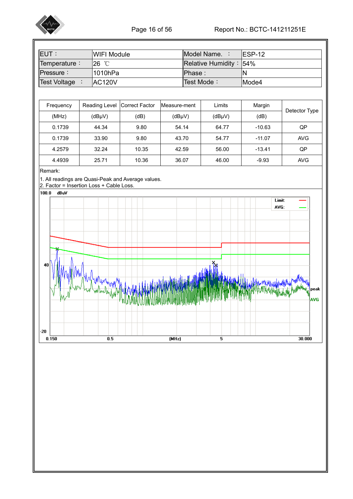

| <b>EUT:</b>         | <b>IWIFI Module</b> | IModel Name. :              | IFSP-12 |
|---------------------|---------------------|-----------------------------|---------|
| Temperature:        | $26^{\circ}$ C      | Relative Humidity : $154\%$ |         |
| <b>Pressure:</b>    | l1010hPa            | IPhase :                    | IN      |
| <b>Test Voltage</b> | IAC <sub>120V</sub> | Test Mode:                  | lMode4  |

| Frequency | Reading Level Correct Factor |       | Measure-ment | Limits              | Margin   |               |
|-----------|------------------------------|-------|--------------|---------------------|----------|---------------|
| (MHz)     | (dBµV)                       | (dB)  | $(dB\mu V)$  | (dB <sub>µ</sub> V) | (dB)     | Detector Type |
| 0.1739    | 44.34                        | 9.80  | 54.14        | 64.77               | $-10.63$ | QP            |
| 0.1739    | 33.90                        | 9.80  | 43.70        | 54.77               | $-11.07$ | <b>AVG</b>    |
| 4.2579    | 32.24                        | 10.35 | 42.59        | 56.00               | $-13.41$ | QP            |
| 4.4939    | 25.71                        | 10.36 | 36.07        | 46.00               | $-9.93$  | <b>AVG</b>    |

#### Remark:

1. All readings are Quasi-Peak and Average values.

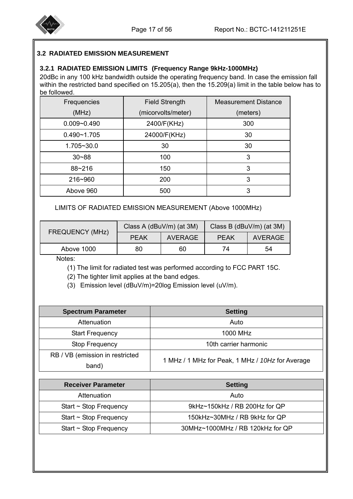

#### **3.2 RADIATED EMISSION MEASUREMENT**

#### **3.2.1 RADIATED EMISSION LIMITS (Frequency Range 9kHz-1000MHz)**

20dBc in any 100 kHz bandwidth outside the operating frequency band. In case the emission fall within the restricted band specified on 15.205(a), then the 15.209(a) limit in the table below has to be followed.

| Frequencies     | <b>Field Strength</b> | <b>Measurement Distance</b> |
|-----------------|-----------------------|-----------------------------|
| (MHz)           | (micorvolts/meter)    | (meters)                    |
| $0.009 - 0.490$ | 2400/F(KHz)           | 300                         |
| $0.490 - 1.705$ | 24000/F(KHz)          | 30                          |
| 1.705~30.0      | 30                    | 30                          |
| $30 - 88$       | 100                   | 3                           |
| 88~216          | 150                   | 3                           |
| 216~960         | 200                   | 3                           |
| Above 960       | 500                   | 3                           |

LIMITS OF RADIATED EMISSION MEASUREMENT (Above 1000MHz)

| <b>FREQUENCY (MHz)</b> | Class A (dBuV/m) (at 3M) |         | Class B (dBuV/m) (at 3M) |                |  |
|------------------------|--------------------------|---------|--------------------------|----------------|--|
|                        | <b>PEAK</b>              | AVERAGE | <b>PEAK</b>              | <b>AVERAGE</b> |  |
| Above 1000             | 80                       | 60      | 74                       | 54             |  |
| .                      |                          |         |                          |                |  |

Notes:

(1) The limit for radiated test was performed according to FCC PART 15C.

(2) The tighter limit applies at the band edges.

(3) Emission level (dBuV/m)=20log Emission level (uV/m).

| <b>Spectrum Parameter</b>       | <b>Setting</b>                                   |  |  |  |  |
|---------------------------------|--------------------------------------------------|--|--|--|--|
| Attenuation                     | Auto                                             |  |  |  |  |
| <b>Start Frequency</b>          | 1000 MHz                                         |  |  |  |  |
| Stop Frequency                  | 10th carrier harmonic                            |  |  |  |  |
| RB / VB (emission in restricted |                                                  |  |  |  |  |
| band)                           | 1 MHz / 1 MHz for Peak, 1 MHz / 10Hz for Average |  |  |  |  |

| <b>Receiver Parameter</b>   | <b>Setting</b>                   |
|-----------------------------|----------------------------------|
| Attenuation                 | Auto                             |
| Start $\sim$ Stop Frequency | 9kHz~150kHz / RB 200Hz for QP    |
| Start $\sim$ Stop Frequency | 150kHz~30MHz / RB 9kHz for QP    |
| Start $\sim$ Stop Frequency | 30MHz~1000MHz / RB 120kHz for QP |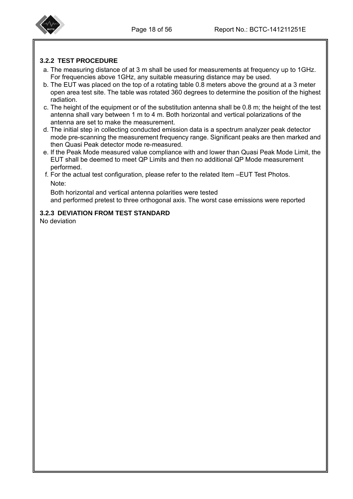

#### **3.2.2 TEST PROCEDURE**

- a. The measuring distance of at 3 m shall be used for measurements at frequency up to 1GHz. For frequencies above 1GHz, any suitable measuring distance may be used.
- b. The EUT was placed on the top of a rotating table 0.8 meters above the ground at a 3 meter open area test site. The table was rotated 360 degrees to determine the position of the highest radiation.
- c. The height of the equipment or of the substitution antenna shall be 0.8 m; the height of the test antenna shall vary between 1 m to 4 m. Both horizontal and vertical polarizations of the antenna are set to make the measurement.
- d. The initial step in collecting conducted emission data is a spectrum analyzer peak detector mode pre-scanning the measurement frequency range. Significant peaks are then marked and then Quasi Peak detector mode re-measured.
- e. If the Peak Mode measured value compliance with and lower than Quasi Peak Mode Limit, the EUT shall be deemed to meet QP Limits and then no additional QP Mode measurement performed.
- f. For the actual test configuration, please refer to the related Item –EUT Test Photos. Note:

 Both horizontal and vertical antenna polarities were tested and performed pretest to three orthogonal axis. The worst case emissions were reported

#### **3.2.3 DEVIATION FROM TEST STANDARD**

No deviation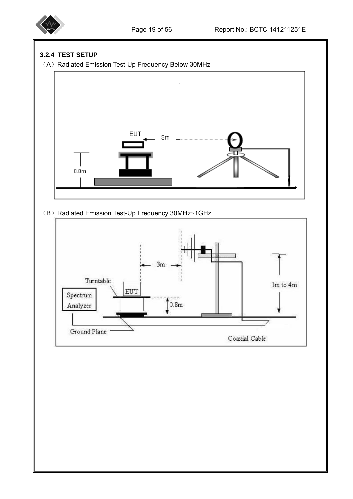

#### **3.2.4 TEST SETUP**

(A) Radiated Emission Test-Up Frequency Below 30MHz



## (B) Radiated Emission Test-Up Frequency 30MHz~1GHz

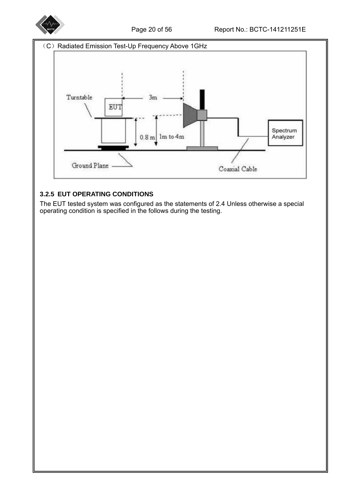



## **3.2.5 EUT OPERATING CONDITIONS**

The EUT tested system was configured as the statements of 2.4 Unless otherwise a special operating condition is specified in the follows during the testing.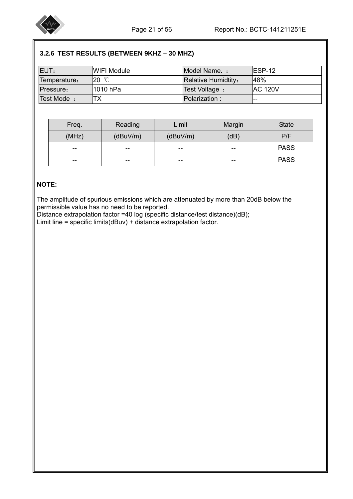

# **3.2.6 TEST RESULTS (BETWEEN 9KHZ – 30 MHZ)**

| EUT:         | <b>IWIFI Module</b> | Model Name. :              | IESP-12         |
|--------------|---------------------|----------------------------|-----------------|
| Temperature: | I20 ℃               | <b>Relative Humidtity:</b> | 48%             |
| Pressure:    | 11010 hPa           | Test Voltage:              | <b>IAC 120V</b> |
| Test Mode:   |                     | Polarization:              |                 |

| Freq. | Reading  | Limit    | Margin | <b>State</b> |
|-------|----------|----------|--------|--------------|
| (MHz) | (dBuV/m) | (dBuV/m) | (dB)   | P/F          |
| $- -$ | $- -$    | --       | $- -$  | <b>PASS</b>  |
| $- -$ | --       | --       | $- -$  | <b>PASS</b>  |

#### **NOTE:**

I

 The amplitude of spurious emissions which are attenuated by more than 20dB below the permissible value has no need to be reported.

Distance extrapolation factor =40 log (specific distance/test distance)(dB);

Limit line = specific limits(dBuv) + distance extrapolation factor.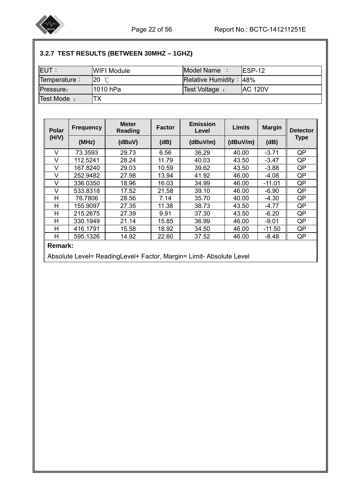

# **3.2.7 TEST RESULTS (BETWEEN 30MHZ – 1GHZ)**

| <b>IEUT:</b> | IWIFI Module | Model Name                  | $IFSP-12$       |
|--------------|--------------|-----------------------------|-----------------|
| Temperature: | 20 °C        | Relative Humidity: $ 48\% $ |                 |
| Pressure:    | l1010 hPa    | Test Voltage:               | <b>IAC 120V</b> |
| Test Mode:   |              |                             |                 |

| <b>Polar</b> | <b>Frequency</b> | <b>Meter</b><br>Reading | <b>Emission</b><br>Limits<br><b>Factor</b><br>Level |          |          | <b>Margin</b> | <b>Detector</b> |  |
|--------------|------------------|-------------------------|-----------------------------------------------------|----------|----------|---------------|-----------------|--|
| (H/V)        | (MHz)            | (dBuV)                  | (dB)                                                | (dBuV/m) | (dBuV/m) | (dB)          | <b>Type</b>     |  |
| V            | 73.3593          | 29.73                   | 6.56                                                | 36.29    | 40.00    | $-3.71$       | QP              |  |
| v            | 112.5241         | 28.24                   | 11.79                                               | 40.03    | 43.50    | $-3.47$       | QP              |  |
| v            | 167.8240         | 29.03                   | 10.59                                               | 39.62    | 43.50    | $-3.88$       | QP              |  |
| v            | 252.9482         | 27.98                   | 13.94                                               | 41.92    | 46.00    | $-4.08$       | QP              |  |
| V            | 336.0350         | 18.96                   | 16.03                                               | 34.99    | 46.00    | $-11.01$      | QP              |  |
| v            | 533.8318         | 17.52                   | 21.58                                               | 39.10    | 46.00    | $-6.90$       | QP              |  |
| Н            | 76.7806          | 28.56                   | 7.14                                                | 35.70    | 40.00    | $-4.30$       | QP              |  |
| Н            | 155.9097         | 27.35                   | 11.38                                               | 38.73    | 43.50    | $-4.77$       | QP              |  |
| Н            | 215.2675         | 27.39                   | 9.91                                                | 37.30    | 43.50    | $-6.20$       | QP              |  |
| н            | 330.1949         | 21.14                   | 15.85                                               | 36.99    | 46.00    | $-9.01$       | QP              |  |
| Н            | 416.1791         | 15.58                   | 18.92                                               | 34.50    | 46.00    | $-11.50$      | QP              |  |
| Н            | 595.1326         | 14.92                   | 22.60                                               | 37.52    | 46.00    | $-8.48$       | QP              |  |

# **Remark:**

Absolute Level= ReadingLevel+ Factor, Margin= Limit- Absolute Level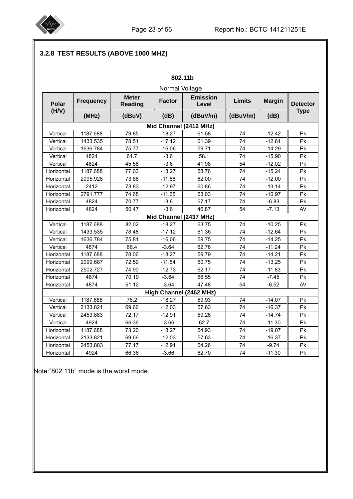

# **3.2.8 TEST RESULTS (ABOVE 1000 MHZ)**

|                        |                  |                                | 802.11b                                   |                         |               |               |                 |  |  |  |  |  |
|------------------------|------------------|--------------------------------|-------------------------------------------|-------------------------|---------------|---------------|-----------------|--|--|--|--|--|
|                        | Normal Voltage   |                                |                                           |                         |               |               |                 |  |  |  |  |  |
| <b>Polar</b>           | <b>Frequency</b> | <b>Meter</b><br><b>Reading</b> | <b>Emission</b><br><b>Factor</b><br>Level |                         | <b>Limits</b> | <b>Margin</b> | <b>Detector</b> |  |  |  |  |  |
| (H/V)                  | (MHz)            | (dBuV)                         | (dB)                                      | (dBuV/m)                | (dBuV/m)      | (dB)          | <b>Type</b>     |  |  |  |  |  |
| Mid Channel (2412 MHz) |                  |                                |                                           |                         |               |               |                 |  |  |  |  |  |
| Vertical               | 1187.688         | 79.85                          | $-18.27$                                  | 61.58                   | 74            | $-12.42$      | Pk              |  |  |  |  |  |
| Vertical               | 1433.535         | 78.51                          | $-17.12$                                  | 61.39                   | 74            | $-12.61$      | Pk              |  |  |  |  |  |
| Vertical               | 1636.784         | 75.77                          | $-16.06$                                  | 59.71                   | 74            | $-14.29$      | Pk              |  |  |  |  |  |
| Vertical               | 4824             | 61.7                           | $-3.6$                                    | 58.1                    | 74            | $-15.90$      | Pk              |  |  |  |  |  |
| Vertical               | 4824             | 45.58                          | $-3.6$                                    | 41.98                   | 54            | $-12.02$      | Pk              |  |  |  |  |  |
| Horizontal             | 1187.688         | 77.03                          | $-18.27$                                  | 58.76                   | 74            | $-15.24$      | Pk              |  |  |  |  |  |
| Horizontal             | 2095.928         | 73.88                          | $-11.88$                                  | 62.00                   | 74            | $-12.00$      | Pk              |  |  |  |  |  |
| Horizontal             | 2412             | 73.83                          | $-12.97$                                  | 60.86                   | 74            | $-13.14$      | Pk              |  |  |  |  |  |
| Horizontal             | 2791.777         | 74.68                          | $-11.65$                                  | 63.03                   | 74            | $-10.97$      | Pk              |  |  |  |  |  |
| Horizontal             | 4824             | 70.77                          | $-3.6$                                    | 67.17                   | 74            | $-6.83$       | Pk              |  |  |  |  |  |
| Horizontal             | 4824             | 50.47                          | $-3.6$                                    | 46.87                   | 54            | $-7.13$       | AV              |  |  |  |  |  |
|                        |                  |                                |                                           | Mid Channel (2437 MHz)  |               |               |                 |  |  |  |  |  |
| Vertical               | 1187.688         | 82.02                          | $-18.27$                                  | 63.75                   | 74            | $-10.25$      | Pk              |  |  |  |  |  |
| Vertical               | 1433.535         | 78.48                          | $-17.12$                                  | 61.36                   | 74            | $-12.64$      | Pk              |  |  |  |  |  |
| Vertical               | 1636.784         | 75.81                          | $-16.06$                                  | 59.75                   | 74            | $-14.25$      | Pk              |  |  |  |  |  |
| Vertical               | 4874             | 66.4                           | $-3.64$                                   | 62.76                   | 74            | $-11.24$      | Pk              |  |  |  |  |  |
| Horizontal             | 1187.688         | 78.06                          | $-18.27$                                  | 59.79                   | 74            | $-14.21$      | Pk              |  |  |  |  |  |
| Horizontal             | 2099.687         | 72.59                          | $-11.84$                                  | 60.75                   | 74            | $-13.25$      | Pk              |  |  |  |  |  |
| Horizontal             | 2502.727         | 74.90                          | $-12.73$                                  | 62.17                   | 74            | $-11.83$      | Pk              |  |  |  |  |  |
| Horizontal             | 4874             | 70.19                          | $-3.64$                                   | 66.55                   | 74            | $-7.45$       | Pk              |  |  |  |  |  |
| Horizontal             | 4874             | 51.12                          | $-3.64$                                   | 47.48                   | 54            | $-6.52$       | AV              |  |  |  |  |  |
|                        |                  |                                |                                           | High Channel (2462 MHz) |               |               |                 |  |  |  |  |  |
| Vertical               | 1187.688         | 78.2                           | $-18.27$                                  | 59.93                   | 74            | $-14.07$      | <b>Pk</b>       |  |  |  |  |  |
| Vertical               | 2133.821         | 69.66                          | $-12.03$                                  | 57.63                   | 74            | $-16.37$      | <b>Pk</b>       |  |  |  |  |  |
| Vertical               | 2453.883         | 72.17                          | $-12.91$                                  | 59.26                   | 74            | $-14.74$      | <b>Pk</b>       |  |  |  |  |  |
| Vertical               | 4924             | 66.36                          | $-3.66$                                   | 62.7                    | 74            | $-11.30$      | Pk              |  |  |  |  |  |
| Horizontal             | 1187.688         | 73.20                          | $-18.27$                                  | 54.93                   | 74            | $-19.07$      | Pk              |  |  |  |  |  |
| Horizontal             | 2133.821         | 69.66                          | $-12.03$                                  | 57.63                   | 74            | $-16.37$      | Pk              |  |  |  |  |  |
| Horizontal             | 2453.883         | 77.17                          | $-12.91$                                  | 64.26                   | 74            | $-9.74$       | Pk              |  |  |  |  |  |
| Horizontal             | 4924             | 66.36                          | $-3.66$                                   | 62.70                   | 74            | $-11.30$      | Pk              |  |  |  |  |  |

Note:"802.11b" mode is the worst mode.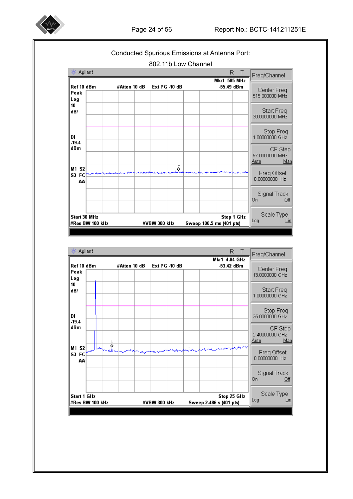



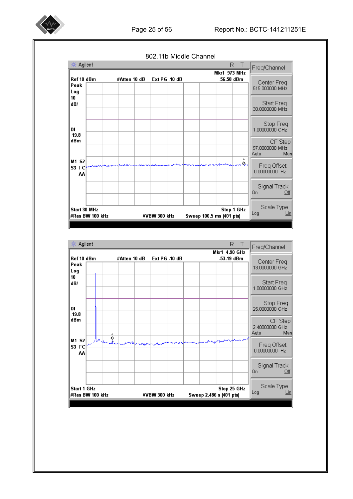

802.11b Middle Channel

| Agilent<br>楽              |                 |              |              |               |                          |                                  | R<br>$\mathbf{L}$ | Freq/Channel                             |
|---------------------------|-----------------|--------------|--------------|---------------|--------------------------|----------------------------------|-------------------|------------------------------------------|
| Ref 10 dBm<br>Peak<br>Log |                 | #Atten 10 dB |              | Ext PG -10 dB |                          | <b>Mkr1 973 MHz</b><br>56.58 dBm |                   | Center Freq<br>515.000000 MHz            |
| 10<br>dB/                 |                 |              |              |               |                          |                                  |                   | Start Freq<br>30.0000000 MHz             |
| DI<br>$-19.8$             |                 |              |              |               |                          |                                  |                   | Stop Freq<br>1.00000000 GHz              |
| dBm                       |                 |              |              |               |                          |                                  |                   | CF Step<br>97.0000000 MHz<br>Man<br>Auto |
| M1 S2<br>S3 FC<br>АΑ      |                 |              |              |               |                          |                                  | ı<br>ନ~           | Freq Offset<br>0.00000000 Hz             |
|                           |                 |              |              |               |                          |                                  |                   | Signal Track<br>On<br>Off                |
| Start 30 MHz              | #Res BW 100 kHz |              | #VBW 300 kHz |               | Sweep 100.5 ms (401 pts) |                                  | Stop 1 GHz        | Scale Type<br>Log<br>Lin                 |

| Agilent                               |              |        |              |              |               |  | R                                      | $\mathbf{I}$ | Freq/Channel                             |
|---------------------------------------|--------------|--------|--------------|--------------|---------------|--|----------------------------------------|--------------|------------------------------------------|
| Ref 10 dBm<br>Peak                    |              |        | #Atten 10 dB |              | Ext PG -10 dB |  | Mkr1 4.90 GHz<br>53.19 dBm             |              | Center Freq<br>13.0000000 GHz            |
| Log<br>10<br>dB/                      |              |        |              |              |               |  |                                        |              | Start Freq<br>1.00000000 GHz             |
| DI<br>$-19.8$                         |              |        |              |              |               |  |                                        |              | Stop Freq<br>25.0000000 GHz              |
| dBm                                   | $\mathbf{A}$ | ı<br>♦ |              |              |               |  |                                        |              | CF Step<br>2.40000000 GHz<br>Man<br>Auto |
| M1 S2<br>S3 FC<br>AA                  |              |        |              |              |               |  |                                        |              | Freq Offset<br>0.00000000 Hz             |
|                                       |              |        |              |              |               |  |                                        |              | Signal Track<br>On<br>Off                |
| <b>Start 1 GHz</b><br>#Res BW 100 kHz |              |        |              | #VBW 300 kHz |               |  | Stop 25 GHz<br>Sweep 2.486 s (401 pts) |              | Scale Type<br>Log<br>Lin                 |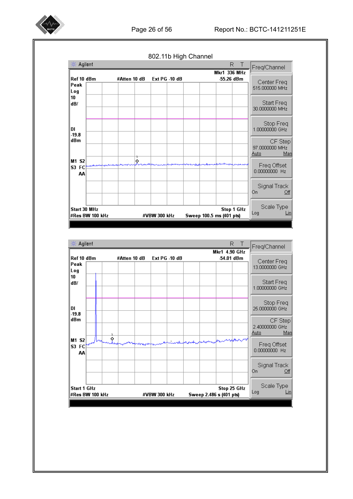

※ Agilent R T Freq/Channel **Mkr1 336 MHz** Ref 10 dBm Ext PG -10 dB -55.26 dBm #Atten 10 dB Center Freq Peak 515.000000 MHz Log 10 Start Freq dB/ 30.0000000 MHZ Stop Freq<br>1.00000000 GHz DI  $-19.8$ dBm CF Step 97.0000000 MHz Man <u>Auto</u> M1 S2 k Freq Offset S3 FC 0.00000000 Hz AA Signal Track On.  $Qff$ Scale Type Start 30 MHz Stop 1 GHz Log  $\n *Lin*\n$ Sweep 100.5 ms (401 pts) #Res BW 100 kHz #VBW 300 kHz



802.11b High Channel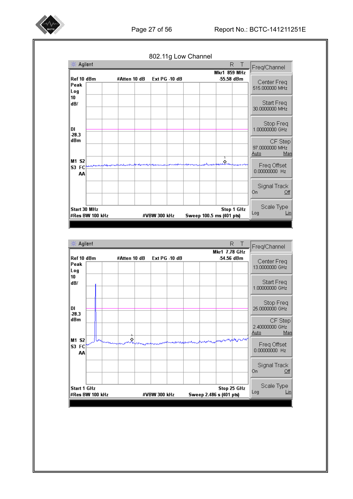802.11g Low Channel ※ Agilent R T Freq/Channel **Mkr1 859 MHz** Ref 10 dBm Ext PG -10 dB #Atten 10 dB -55.58 dBm Center Freq Peak 515.000000 MHz Log 10 Start Freq dB/ 30.0000000 MHZ Stop Freq<br>1.00000000 GHz DI  $-28.3$ dBm CF Step 97.0000000 MHz Man <u>Auto</u> M1 S2 Ś. Freq Offset S3 FC 0.00000000 Hz AA Signal Track On.  $Qff$ Scale Type Start 30 MHz Stop 1 GHz Log  $\n *Lin*\n$ #Res BW 100 kHz Sweep 100.5 ms (401 pts) #VBW 300 kHz

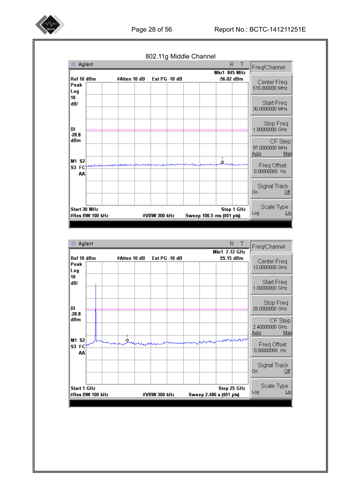

802.11g Middle Channel ※ Agilent R T Freq/Channel **Mkr1 845 MHz** Ref 10 dBm Ext PG -10 dB -56.02 dBm #Atten 10 dB Center Freq Peak 515.000000 MHz Log 10 Start Freq dB/ 30.0000000 MHz Stop Freq<br>1.00000000 GHz DI. 28.8  $\overline{dBm}$ CF Step 97.0000000 MHz Man <u>Auto</u> M1 S2 Q, Freq Offset<br>0.00000000 Hz S3 FC AA Signal Track  $On<sup>-</sup>$  $Qff$ Scale Type Start 30 MHz Stop 1 GHz Log  $\n *Lin*\n$ #Res BW 100 kHz #VBW 300 kHz Sweep 100.5 ms (401 pts)

| 楽 Agilent                             |  |              |              |               |  | R<br>Mkr1 7.12 GHz                     | Freq/Channel                             |
|---------------------------------------|--|--------------|--------------|---------------|--|----------------------------------------|------------------------------------------|
| Ref 10 dBm<br>Peak<br>Log             |  | #Atten 10 dB |              | Ext PG -10 dB |  | -55.15 dBm                             | Center Freq<br>13.0000000 GHz            |
| 10<br>dB/                             |  |              |              |               |  |                                        | Start Freq<br>1.00000000 GHz             |
| DI<br>$-28.8$                         |  |              |              |               |  |                                        | Stop Freq<br>25.0000000 GHz              |
| dBm                                   |  |              |              |               |  |                                        | CF Step<br>2.40000000 GHz<br>Auto<br>Man |
| M1 S2<br>S3 FC<br>AA                  |  |              |              |               |  | and showing the                        | Freq Offset<br>0.00000000 Hz             |
|                                       |  |              |              |               |  |                                        | Signal Track<br>On<br>Off                |
| <b>Start 1 GHz</b><br>#Res BW 100 kHz |  |              | #VBW 300 kHz |               |  | Stop 25 GHz<br>Sweep 2.486 s (401 pts) | Scale Type<br>Log                        |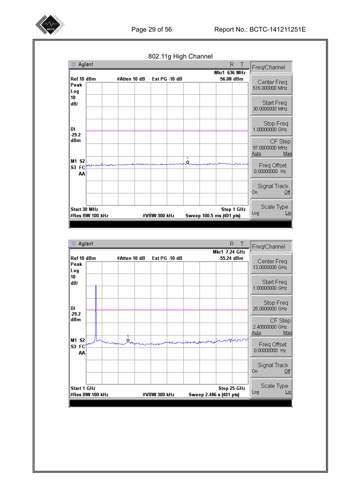|                                 |                 |              | 802.11g High Channel |                          |                               |                                           |
|---------------------------------|-----------------|--------------|----------------------|--------------------------|-------------------------------|-------------------------------------------|
| 楽 Agilent                       |                 |              |                      |                          | R<br>Т<br><b>Mkr1 636 MHz</b> | Freq/Channel                              |
| Ref 10 dBm<br>Peak<br>Log<br>10 |                 | #Atten 10 dB | Ext PG -10 dB        |                          | 56.08 dBm                     | Center Freq<br>515.000000 MHz             |
| dB/                             |                 |              |                      |                          |                               | Start Freq<br>30.0000000 MHz              |
| DI<br>$-29.2$                   |                 |              |                      |                          |                               | Stop Freq<br>1.00000000 GHz               |
| dBm                             |                 |              |                      |                          |                               | CF Step<br>97.0000000 MHz<br>Manl<br>Auto |
| M1 S2<br>S3 FC<br>AA            |                 |              |                      | ı<br>Ò.                  |                               | Freq Offset<br>0.00000000 Hz              |
|                                 |                 |              |                      |                          |                               | Signal Track<br>On<br>Off                 |
| Start 30 MHz                    | #Res BW 100 kHz |              | #VBW 300 kHz         | Sweep 100.5 ms (401 pts) | <b>Stop 1 GHz</b>             | Scale Type<br>Log<br>Lin                  |

Agilent  $R$  T 薀 Freq/Channel **Mkr1 7.24 GHz** Ref 10 dBm #Atten 10 dB Ext PG -10 dB -55.24 dBm Center Freq<br>13.0000000 GHz Peak Log 10 Start Freq<br>1.00000000 GHz dB/ Stop Freq<br>25.0000000 GHz DI.  $-29.2$ dBm CF Step 2.40000000 GHz Auto Man M1 S2  $\hat{\mathbf{x}}$ **SMA** Freq Offset<br>0.00000000 Hz S3 FC AA Signal Track On- $Qf$ Scale Type Stop 25 GHz Start 1 GHz Log  $\n Lin\n$ #Res BW 100 kHz #VBW 300 kHz Sweep 2.486 s (401 pts)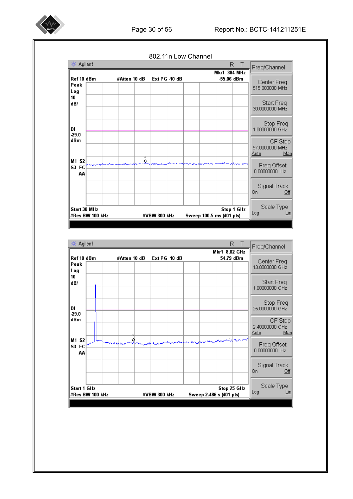

802.11n Low Channel ※ Agilent R T Freq/Channel **Mkr1 384 MHz** Ref 10 dBm Ext PG -10 dB -55.06 dBm #Atten 10 dB Center Freq Peak 515.000000 MHz Log 10 Start Freq dB/ 30.0000000 MHz Stop Freq<br>1.00000000 GHz DI  $29.0$  $\overline{dBm}$ CF Step 97.0000000 MHz Man <u>Auto</u> M1 S2 Ŕ, Freq Offset<br>0.00000000 Hz S3 FC AA Signal Track  $On<sup>-</sup>$  $Qff$ Scale Type Start 30 MHz Stop 1 GHz Log  $\n *Lin*\n$ #Res BW 100 kHz #VBW 300 kHz Sweep 100.5 ms (401 pts)

| 楽 Agilent                 |                 |              |               | Mkr1 8.02 GHz           | R<br>Freq/Channel                           |
|---------------------------|-----------------|--------------|---------------|-------------------------|---------------------------------------------|
| Ref 10 dBm<br>Peak<br>Log |                 | #Atten 10 dB | Ext PG -10 dB |                         | -54.79 dBm<br>Center Freq<br>13.0000000 GHz |
| 10<br>dB/                 |                 |              |               |                         | Start Freq<br>1.00000000 GHz                |
| DI<br>$-29.0$             |                 |              |               |                         | Stop Freq<br>25.0000000 GHz                 |
| dBm                       |                 |              |               |                         | CF Step<br>2.40000000 GHz<br>Man<br>Auto    |
| M1 S2<br>S3 FC<br>AA      |                 |              |               |                         | Freq Offset<br>0.00000000 Hz                |
|                           |                 |              |               |                         | Signal Track<br>On<br>Off                   |
| <b>Start 1 GHz</b>        | #Res BW 100 kHz |              | #VBW 300 kHz  | Sweep 2.486 s (401 pts) | Scale Type<br>Stop 25 GHz<br>Log<br>Lin     |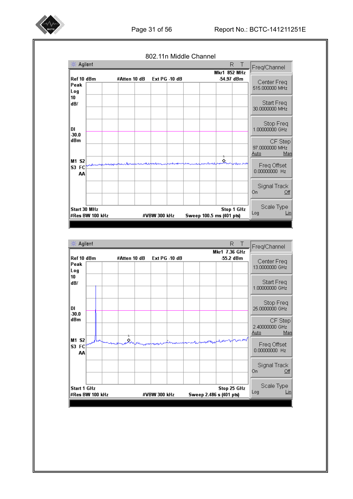

|  | 802.11n Middle Channel |  |
|--|------------------------|--|
|--|------------------------|--|

| 楽                    | Agilent         |              |               | R                                 | Freq/Channel                             |
|----------------------|-----------------|--------------|---------------|-----------------------------------|------------------------------------------|
| Ref 10 dBm           |                 | #Atten 10 dB | Ext PG -10 dB | <b>Mkr1 852 MHz</b><br>-54.97 dBm |                                          |
| Peak<br>Log          |                 |              |               |                                   | Center Freq<br>515,000000 MHz            |
| 10<br>dB/            |                 |              |               |                                   | Start Freq<br>30.0000000 MHz             |
| DI<br>30.0           |                 |              |               |                                   | Stop Freq<br>1.00000000 GHz              |
| dBm                  |                 |              |               |                                   | CF Step<br>97.0000000 MHz<br>Man<br>Auto |
| M1 S2<br>S3 FC<br>AA |                 |              |               | Š.                                | Freq Offset<br>0.00000000 Hz             |
|                      |                 |              |               |                                   | Signal Track<br>On<br>Off                |
| Start 30 MHz         | #Res BW 100 kHz |              | #VBW 300 kHz  | Sweep 100.5 ms (401 pts)          | Scale Type<br>Stop 1 GHz<br>Log<br>Lin   |

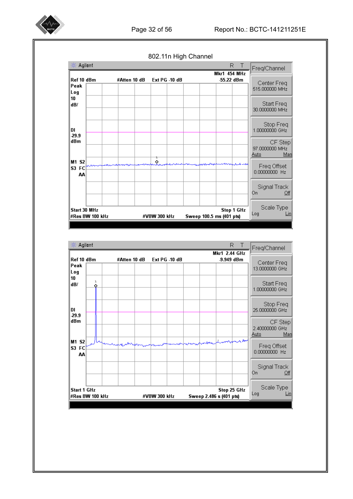

Agilent  $R_{\parallel}$  $T$ Freq/Channel **Mkr1 454 MHz** Ref 10 dBm #Atten 10 dB Ext PG -10 dB -55.22 dBm Center Freg Peak 515,000000 MHz Log 10 Start Freq dB/ 30.0000000 MHz Stop Freq<br>1.00000000 GHz DI  $-29.9$ dBm CF Step 97.0000000 MHz Auto Man M1 S2 Ŷ. Freq Offset S3 FC 0.00000000 Hz AA Signal Track On.  $Qff$ Scale Type Start 30 MHz **Stop 1 GHz** Log  $\n Lin\n$ Sweep 100.5 ms (401 pts) #Res BW 100 kHz #VBW 300 kHz



802.11n High Channel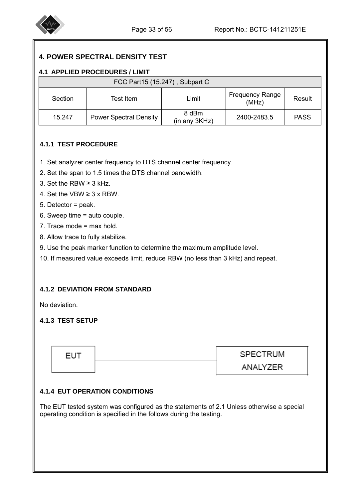

I

I

# **4. POWER SPECTRAL DENSITY TEST**

#### **4.1 APPLIED PROCEDURES / LIMIT**

|         |                               | FCC Part15 (15.247), Subpart C |                                 |             |
|---------|-------------------------------|--------------------------------|---------------------------------|-------------|
| Section | Test Item                     | Limit                          | <b>Frequency Range</b><br>(MHz) | Result      |
| 15.247  | <b>Power Spectral Density</b> | 8 dBm<br>(in any 3KHz)         | 2400-2483.5                     | <b>PASS</b> |

#### **4.1.1 TEST PROCEDURE**

- 1. Set analyzer center frequency to DTS channel center frequency.
- 2. Set the span to 1.5 times the DTS channel bandwidth.
- 3. Set the RBW ≥ 3 kHz.
- 4. Set the VBW  $\geq$  3 x RBW.
- 5. Detector = peak.
- 6. Sweep time = auto couple.
- 7. Trace mode = max hold.
- 8. Allow trace to fully stabilize.
- 9. Use the peak marker function to determine the maximum amplitude level.
- 10. If measured value exceeds limit, reduce RBW (no less than 3 kHz) and repeat.

#### **4.1.2 DEVIATION FROM STANDARD**

No deviation.

I

I

I

#### **4.1.3 TEST SETUP**

| <b>EUT</b> | SPECTRUM |
|------------|----------|
|            | ANALYZER |

#### **4.1.4 EUT OPERATION CONDITIONS**

The EUT tested system was configured as the statements of 2.1 Unless otherwise a special operating condition is specified in the follows during the testing.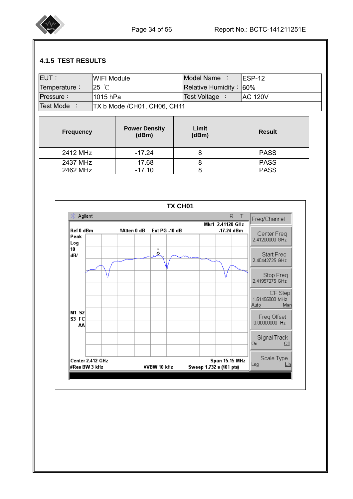

#### **4.1.5 TEST RESULTS**

| <b>IEUT:</b>       | <b>IWIFI Module</b>                | Model Name :              | IESP-12         |
|--------------------|------------------------------------|---------------------------|-----------------|
| Temperature:       | $25^\circ$ C                       | Relative Humidity: $60\%$ |                 |
| Pressure:          | l1015 hPa                          | <b>Test Voltage</b>       | <b>IAC 120V</b> |
| <b>Test Mode</b> : | <b>TX b Mode /CH01, CH06, CH11</b> |                           |                 |

| <b>Frequency</b> | <b>Power Density</b><br>(dBm) | Limit<br>(dBm) | <b>Result</b> |
|------------------|-------------------------------|----------------|---------------|
| 2412 MHz         | -17.24                        | 8              | <b>PASS</b>   |
| 2437 MHz         | $-17.68$                      | ŏ              | <b>PASS</b>   |
| 2462 MHz         | $-17.10$                      |                | <b>PASS</b>   |

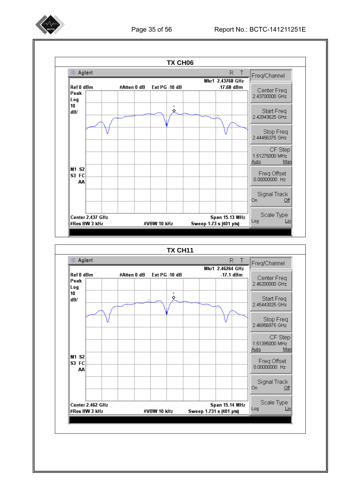

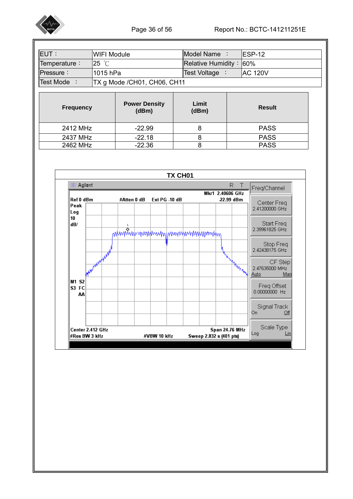

| <b>EUT:</b>      | <b>WIFI Module</b> |                               | Model Name:        |                | ESP-12         |  |
|------------------|--------------------|-------------------------------|--------------------|----------------|----------------|--|
| Temperature:     | $25^\circ$ C       |                               | Relative Humidity: |                | $ 60\%$        |  |
| Pressure:        | 1015 hPa           |                               | Test Voltage       | $\ddot{\cdot}$ | <b>AC 120V</b> |  |
| Test Mode:       |                    | TX g Mode / CH01, CH06, CH11  |                    |                |                |  |
|                  |                    |                               |                    |                |                |  |
|                  |                    |                               |                    |                |                |  |
| <b>Frequency</b> |                    | <b>Power Density</b><br>(dBm) | Limit<br>(dBm)     |                | <b>Result</b>  |  |

2437 MHz -22.18 8 PASS 2462 MHz -22.36 8 PASS

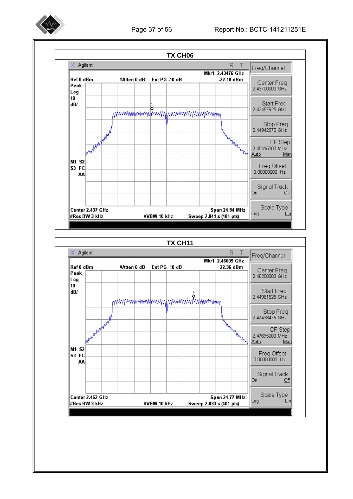

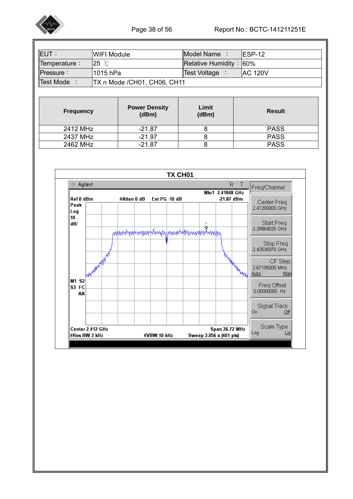

| IEUT :             | WIFI Module                        | <b>IModel Name</b>          | $IFSP-12$       |
|--------------------|------------------------------------|-----------------------------|-----------------|
| Temperature:       | $25$ °C                            | Relative Humidity: $ 60\% $ |                 |
| Pressure:          | 11015 hPa                          | <b>Test Voltage</b>         | <b>IAC 120V</b> |
| <b>Test Mode</b> : | <b>TX n Mode /CH01, CH06, CH11</b> |                             |                 |

| <b>Frequency</b> | <b>Power Density</b><br>(dBm) | Limit<br>(dBm) | <b>Result</b> |
|------------------|-------------------------------|----------------|---------------|
| 2412 MHz         | $-21.87$                      |                | <b>PASS</b>   |
| 2437 MHz         | $-21.97$                      |                | <b>PASS</b>   |
| 2462 MHz         | $-21.87$                      |                | <b>PASS</b>   |

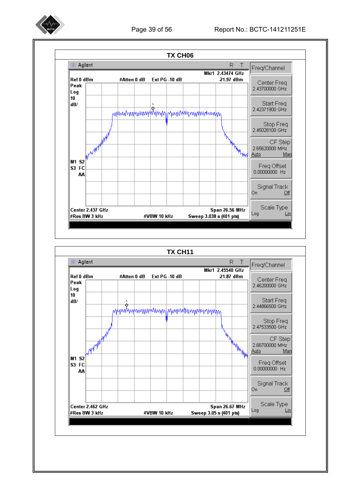

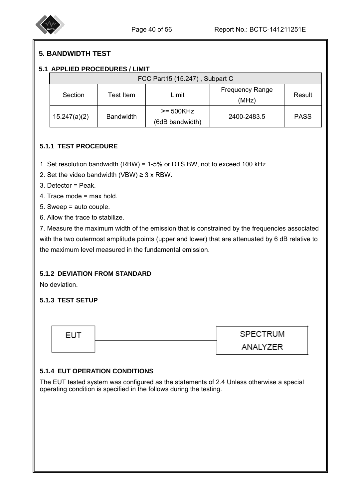

## **5. BANDWIDTH TEST**

#### **5.1 APPLIED PROCEDURES / LIMIT**

|              |                  | FCC Part15 (15.247), Subpart C |                                 |             |
|--------------|------------------|--------------------------------|---------------------------------|-------------|
| Section      | Test Item        | Limit                          | <b>Frequency Range</b><br>(MHz) | Result      |
| 15.247(a)(2) | <b>Bandwidth</b> | $>= 500KHz$<br>(6dB bandwidth) | 2400-2483.5                     | <b>PASS</b> |

## **5.1.1 TEST PROCEDURE**

- 1. Set resolution bandwidth (RBW) = 1-5% or DTS BW, not to exceed 100 kHz.
- 2. Set the video bandwidth (VBW)  $\geq$  3 x RBW.
- 3. Detector = Peak.

I

- 4. Trace mode = max hold.
- 5. Sweep = auto couple.
- 6. Allow the trace to stabilize.

7. Measure the maximum width of the emission that is constrained by the frequencies associated with the two outermost amplitude points (upper and lower) that are attenuated by 6 dB relative to the maximum level measured in the fundamental emission.

#### **5.1.2 DEVIATION FROM STANDARD**

No deviation.

## **5.1.3 TEST SETUP**



#### **5.1.4 EUT OPERATION CONDITIONS**

The EUT tested system was configured as the statements of 2.4 Unless otherwise a special operating condition is specified in the follows during the testing.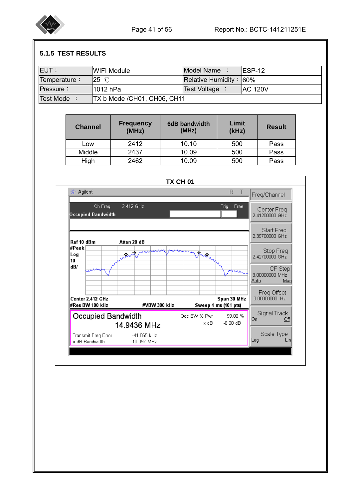

# **5.1.5 TEST RESULTS**

|              |                                     | <b>WIFI Module</b>           | Model Name :                  | <b>ESP-12</b>                                 |                               |
|--------------|-------------------------------------|------------------------------|-------------------------------|-----------------------------------------------|-------------------------------|
| Temperature: | 25 °C                               |                              |                               | Relative Humidity: 60%                        |                               |
| Pressure:    | 1012 hPa                            |                              | Test Voltage :                |                                               | <b>AC 120V</b>                |
| Test Mode :  |                                     | TX b Mode / CH01, CH06, CH11 |                               |                                               |                               |
|              |                                     |                              |                               |                                               |                               |
|              | <b>Channel</b>                      | <b>Frequency</b><br>(MHz)    | <b>6dB bandwidth</b><br>(MHz) | Limit<br>(kHz)                                | <b>Result</b>                 |
|              | Low                                 | 2412                         | 10.10                         | 500                                           | Pass                          |
|              | Middle                              | 2437                         | 10.09                         | 500                                           | Pass                          |
|              | High                                | 2462                         | 10.09                         | 500                                           | Pass                          |
|              |                                     |                              |                               |                                               |                               |
|              |                                     |                              | TX CH 01                      |                                               |                               |
|              | Agilent<br>楽                        |                              |                               | R.<br>$\top$                                  | Freq/Channel                  |
|              | Ch Freq                             | 2.412 GHz                    |                               | Trig<br>Free                                  |                               |
|              | Occupied Bandwidth                  |                              |                               |                                               | Center Freq<br>2.41200000 GHz |
|              |                                     |                              |                               |                                               |                               |
|              |                                     |                              |                               |                                               | Start Freq<br>2.39700000 GHz  |
|              | Ref 10 dBm                          | Atten 20 dB                  |                               |                                               |                               |
|              | #Peak<br>Log<br>10                  | ♦,                           |                               |                                               | Stop Freq<br>2.42700000 GHz   |
|              | dB/                                 |                              |                               | へんこ                                           | CF Step<br>3.00000000 MHz     |
|              |                                     |                              |                               |                                               | Manl                          |
|              |                                     |                              |                               |                                               | <b>Auto</b><br>Freq Offset    |
|              | Center 2.412 GHz<br>#Res BW 100 kHz | #VBW 300 kHz                 |                               | Span 30 MHz                                   | 0.00000000 Hz                 |
|              | Occupied Bandwidth                  | 14.9436 MHz                  | Occ BW % Pwr<br>x dB          | Sweep 4 ms (401 pts)<br>99.00 %<br>$-6.00$ dB | Signal Track<br>On.<br>Off    |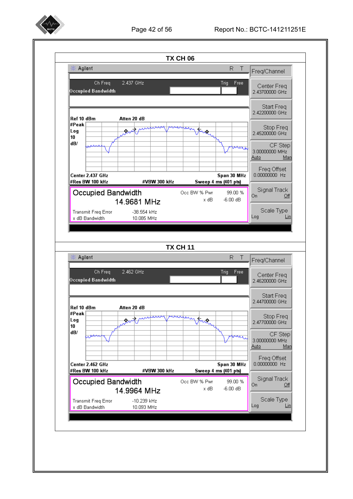

#### Page 42 of 56 Report No.: BCTC-141211251E

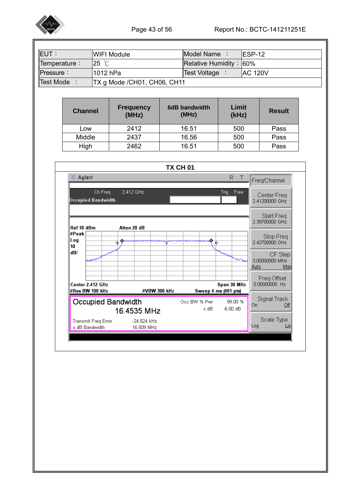

| Temperature:<br>25 $°C$<br>Relative Humidity: 60%<br><b>AC 120V</b><br>Pressure:<br>Test Voltage :<br>1012 hPa<br>TX g Mode / CH01, CH06, CH11<br>Test Mode :<br>Limit<br><b>Frequency</b><br>6dB bandwidth<br><b>Channel</b><br>(MHz)<br>(MHz)<br>(kHz)<br>2412<br>16.51<br>500<br>Low<br>Middle<br>2437<br>16.56<br>500<br>16.51<br>500<br>2462<br>High<br>TX CH 01<br>楽 Agilent<br>R.<br>$\top$<br>Freq/Channel<br>Ch Freq<br>2.412 GHz<br>Trig<br>Free<br>Occupied Bandwidth<br>Ref 10 dBm<br>Atten 20 dB<br>#Peak | <b>Result</b><br>Pass<br>Pass<br>Pass |
|------------------------------------------------------------------------------------------------------------------------------------------------------------------------------------------------------------------------------------------------------------------------------------------------------------------------------------------------------------------------------------------------------------------------------------------------------------------------------------------------------------------------|---------------------------------------|
|                                                                                                                                                                                                                                                                                                                                                                                                                                                                                                                        |                                       |
|                                                                                                                                                                                                                                                                                                                                                                                                                                                                                                                        |                                       |
|                                                                                                                                                                                                                                                                                                                                                                                                                                                                                                                        |                                       |
|                                                                                                                                                                                                                                                                                                                                                                                                                                                                                                                        |                                       |
|                                                                                                                                                                                                                                                                                                                                                                                                                                                                                                                        |                                       |
|                                                                                                                                                                                                                                                                                                                                                                                                                                                                                                                        |                                       |
|                                                                                                                                                                                                                                                                                                                                                                                                                                                                                                                        |                                       |
|                                                                                                                                                                                                                                                                                                                                                                                                                                                                                                                        |                                       |
|                                                                                                                                                                                                                                                                                                                                                                                                                                                                                                                        |                                       |
|                                                                                                                                                                                                                                                                                                                                                                                                                                                                                                                        |                                       |
|                                                                                                                                                                                                                                                                                                                                                                                                                                                                                                                        |                                       |
|                                                                                                                                                                                                                                                                                                                                                                                                                                                                                                                        | Center Freq<br>2.41200000 GHz         |
|                                                                                                                                                                                                                                                                                                                                                                                                                                                                                                                        | Start Freq<br>2.39700000 GHz          |
| Log<br>→<br>€<br>10                                                                                                                                                                                                                                                                                                                                                                                                                                                                                                    | Stop Freq<br>2.42700000 GHz           |
| dB/<br>حامله<br>www<br>Auto                                                                                                                                                                                                                                                                                                                                                                                                                                                                                            | CF Step<br>3.00000000 MHz<br>Man      |
| Center 2.412 GHz<br>Span 30 MHz<br>#VBW 300 kHz<br>Sweep 4 ms (401 pts)<br>#Res BW 100 kHz                                                                                                                                                                                                                                                                                                                                                                                                                             | Freq Offset<br>0.00000000 Hz          |
| Occupied Bandwidth<br>Occ BW % Pwr<br>99.00 %<br>On<br>16.4535 MHz                                                                                                                                                                                                                                                                                                                                                                                                                                                     | Signal Track<br>Qff                   |
| Transmit Freq Error<br>-24.824 kHz<br>Log<br>x dB Bandwidth<br>16.509 MHz                                                                                                                                                                                                                                                                                                                                                                                                                                              | Scale Type<br><u>Lin</u>              |
|                                                                                                                                                                                                                                                                                                                                                                                                                                                                                                                        |                                       |
|                                                                                                                                                                                                                                                                                                                                                                                                                                                                                                                        |                                       |
|                                                                                                                                                                                                                                                                                                                                                                                                                                                                                                                        |                                       |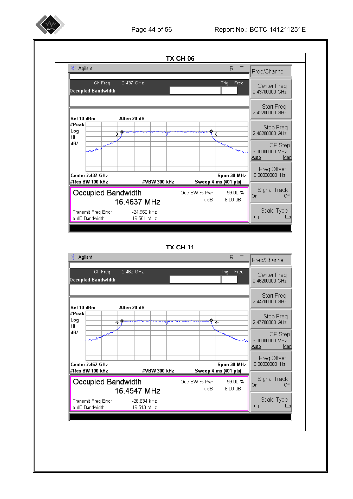

#### Page 44 of 56 Report No.: BCTC-141211251E

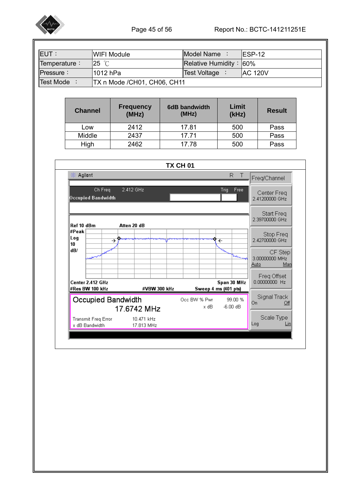

| <b>EUT:</b>                                 | Model Name:<br><b>WIFI Module</b>       |                     |                              |                               |                         | <b>ESP-12</b>                                                   |  |  |
|---------------------------------------------|-----------------------------------------|---------------------|------------------------------|-------------------------------|-------------------------|-----------------------------------------------------------------|--|--|
| 25 °C<br>Relative Humidity:<br>Temperature: |                                         |                     |                              |                               |                         | 60%                                                             |  |  |
|                                             | 1012 hPa<br>Test Voltage :<br>Pressure: |                     |                              |                               |                         | <b>AC 120V</b>                                                  |  |  |
|                                             | Test Mode :                             |                     | TX n Mode / CH01, CH06, CH11 |                               |                         |                                                                 |  |  |
|                                             |                                         |                     |                              |                               |                         |                                                                 |  |  |
|                                             | <b>Channel</b>                          |                     | <b>Frequency</b><br>(MHz)    | <b>6dB bandwidth</b><br>(MHz) | Limit<br>(kHz)          | <b>Result</b>                                                   |  |  |
|                                             | Low                                     |                     | 2412                         | 17.81                         | 500                     | Pass                                                            |  |  |
|                                             | Middle                                  |                     | 2437                         | 17.71                         | 500                     | Pass                                                            |  |  |
|                                             | High                                    |                     | 2462                         | 17.78                         | 500                     | Pass                                                            |  |  |
|                                             |                                         |                     |                              |                               |                         |                                                                 |  |  |
|                                             |                                         |                     |                              | TX CH 01                      |                         |                                                                 |  |  |
|                                             | 楽 Agilent                               |                     |                              |                               | R<br>$\top$             | Freq/Channel                                                    |  |  |
|                                             |                                         |                     |                              |                               |                         |                                                                 |  |  |
|                                             | Ch Freq<br>2.412 GHz<br>Free<br>Trig    |                     |                              |                               |                         | Center Freq                                                     |  |  |
|                                             | Occupied Bandwidth                      |                     |                              |                               |                         |                                                                 |  |  |
|                                             |                                         |                     |                              |                               |                         | 2.41200000 GHz                                                  |  |  |
|                                             |                                         |                     |                              |                               |                         |                                                                 |  |  |
|                                             |                                         |                     |                              |                               |                         | Start Freq<br>2.39700000 GHz                                    |  |  |
|                                             | Ref 10 dBm<br>#Peak                     |                     | Atten 20 dB                  |                               |                         |                                                                 |  |  |
|                                             | Log                                     |                     | →                            |                               | $\overline{\leftarrow}$ | Stop Freq<br>2.42700000 GHz                                     |  |  |
|                                             | 10<br>dB/                               |                     |                              |                               |                         |                                                                 |  |  |
|                                             |                                         | مسهور               |                              |                               | ينبهن                   | CF Step<br>3.00000000 MHz                                       |  |  |
|                                             |                                         |                     |                              |                               |                         | <u>Auto</u><br>Man                                              |  |  |
|                                             |                                         |                     |                              |                               |                         | Freq Offset                                                     |  |  |
|                                             |                                         | Center 2.412 GHz    |                              |                               | Span 30 MHz             | 0.00000000 Hz                                                   |  |  |
|                                             | #Res BW 100 kHz                         |                     | #VBW 300 kHz                 |                               | Sweep 4 ms (401 pts)    |                                                                 |  |  |
|                                             |                                         |                     | Occupied Bandwidth           | Occ BW % Pwr                  | 99.00 %                 | Signal Track<br>On<br>Qff                                       |  |  |
|                                             |                                         |                     | 17.6742 MHz                  | x dB                          | $-6.00$ dB              |                                                                 |  |  |
|                                             | x dB Bandwidth                          | Transmit Freq Error | 10.471 kHz<br>17.813 MHz     |                               |                         | Scale Type<br>Log<br>$\lfloor \underline{\mathsf{lin}} \rfloor$ |  |  |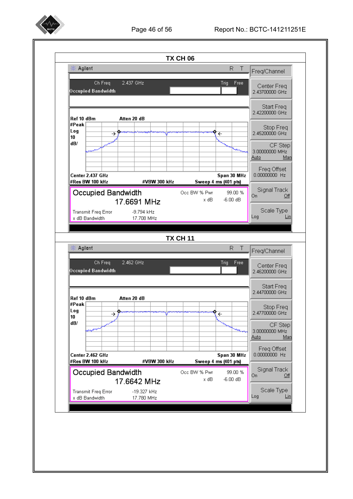

#### Page 46 of 56 Report No.: BCTC-141211251E

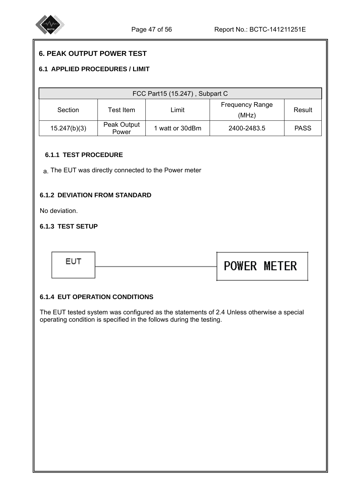

## **6. PEAK OUTPUT POWER TEST**

#### **6.1 APPLIED PROCEDURES / LIMIT**

| FCC Part15 (15.247), Subpart C                                              |                      |                 |             |             |  |  |
|-----------------------------------------------------------------------------|----------------------|-----------------|-------------|-------------|--|--|
| <b>Frequency Range</b><br>Limit<br>Test Item.<br>Section<br>Result<br>(MHz) |                      |                 |             |             |  |  |
| 15.247(b)(3)                                                                | Peak Output<br>Power | 1 watt or 30dBm | 2400-2483.5 | <b>PASS</b> |  |  |

#### **6.1.1 TEST PROCEDURE**

a. The EUT was directly connected to the Power meter

#### **6.1.2 DEVIATION FROM STANDARD**

No deviation.

I

I

I

I

#### **6.1.3 TEST SETUP**



#### **6.1.4 EUT OPERATION CONDITIONS**

The EUT tested system was configured as the statements of 2.4 Unless otherwise a special operating condition is specified in the follows during the testing.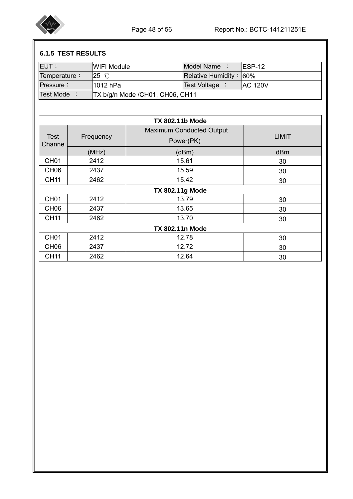

# **6.1.5 TEST RESULTS**

| <b>IEUT:</b> | IWIFI Module                    | Model Name :              | IESP-12         |
|--------------|---------------------------------|---------------------------|-----------------|
| Temperature: | $25 \degree$ C                  | Relative Humidity: $60\%$ |                 |
| $P$ ressure: | l1012 hPa                       | <b>Test Voltage</b>       | <b>IAC 120V</b> |
| Test Mode    | TX b/g/n Mode /CH01, CH06, CH11 |                           |                 |

| <b>TX 802.11b Mode</b> |                        |                                 |              |  |  |  |  |
|------------------------|------------------------|---------------------------------|--------------|--|--|--|--|
| <b>Test</b><br>Channe  | Frequency              | <b>Maximum Conducted Output</b> | <b>LIMIT</b> |  |  |  |  |
|                        |                        | Power(PK)                       |              |  |  |  |  |
|                        | (MHz)                  | (dBm)                           | dBm          |  |  |  |  |
| CH <sub>01</sub>       | 2412                   | 15.61                           | 30           |  |  |  |  |
| CH <sub>06</sub>       | 2437                   | 15.59                           | 30           |  |  |  |  |
| <b>CH11</b>            | 2462                   | 15.42                           | 30           |  |  |  |  |
|                        | <b>TX 802.11g Mode</b> |                                 |              |  |  |  |  |
| CH <sub>01</sub>       | 2412                   | 13.79                           | 30           |  |  |  |  |
| CH <sub>06</sub>       | 2437                   | 13.65                           | 30           |  |  |  |  |
| <b>CH11</b>            | 2462                   | 13.70                           | 30           |  |  |  |  |
| <b>TX 802.11n Mode</b> |                        |                                 |              |  |  |  |  |
| CH <sub>01</sub>       | 2412                   | 12.78                           | 30           |  |  |  |  |
| CH <sub>06</sub>       | 2437                   | 12.72                           | 30           |  |  |  |  |
| <b>CH11</b>            | 2462                   | 12.64                           | 30           |  |  |  |  |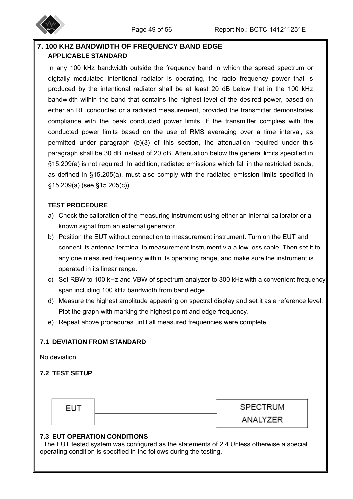

## **7. 100 KHZ BANDWIDTH OF FREQUENCY BAND EDGE APPLICABLE STANDARD**

In any 100 kHz bandwidth outside the frequency band in which the spread spectrum or digitally modulated intentional radiator is operating, the radio frequency power that is produced by the intentional radiator shall be at least 20 dB below that in the 100 kHz bandwidth within the band that contains the highest level of the desired power, based on either an RF conducted or a radiated measurement, provided the transmitter demonstrates compliance with the peak conducted power limits. If the transmitter complies with the conducted power limits based on the use of RMS averaging over a time interval, as permitted under paragraph (b)(3) of this section, the attenuation required under this paragraph shall be 30 dB instead of 20 dB. Attenuation below the general limits specified in §15.209(a) is not required. In addition, radiated emissions which fall in the restricted bands, as defined in §15.205(a), must also comply with the radiated emission limits specified in §15.209(a) (see §15.205(c)).

## **TEST PROCEDURE**

- a) Check the calibration of the measuring instrument using either an internal calibrator or a known signal from an external generator.
- b) Position the EUT without connection to measurement instrument. Turn on the EUT and connect its antenna terminal to measurement instrument via a low loss cable. Then set it to any one measured frequency within its operating range, and make sure the instrument is operated in its linear range.
- c) Set RBW to 100 kHz and VBW of spectrum analyzer to 300 kHz with a convenient frequency span including 100 kHz bandwidth from band edge.
- d) Measure the highest amplitude appearing on spectral display and set it as a reference level. Plot the graph with marking the highest point and edge frequency.
- e) Repeat above procedures until all measured frequencies were complete.

## **7.1 DEVIATION FROM STANDARD**

No deviation.

## **7.2 TEST SETUP**

| <b>EUT</b> |  |
|------------|--|
|            |  |

**SPECTRUM** 

ANALYZER

#### **7.3 EUT OPERATION CONDITIONS**

The EUT tested system was configured as the statements of 2.4 Unless otherwise a special operating condition is specified in the follows during the testing.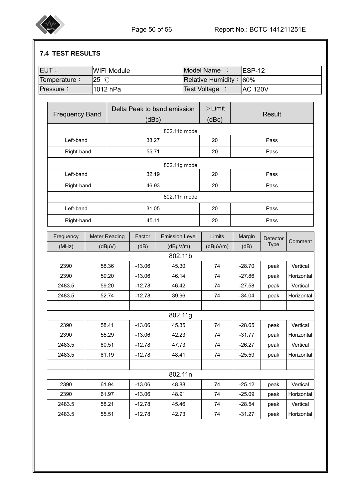

# **7.4 TEST RESULTS**

| <b>EUT:</b>           | <b>WIFI Module</b>   |          |                             | Model Name :        | <b>ESP-12</b>  |               |            |  |
|-----------------------|----------------------|----------|-----------------------------|---------------------|----------------|---------------|------------|--|
| Temperature:          | $25^\circ\mathrm{C}$ |          |                             | Relative Humidity:  | 60%            |               |            |  |
| Pressure:             | 1012 hPa             |          |                             | <b>Test Voltage</b> | <b>AC 120V</b> |               |            |  |
|                       |                      |          |                             |                     |                |               |            |  |
| <b>Frequency Band</b> |                      |          | Delta Peak to band emission | $>$ Limit           |                | <b>Result</b> |            |  |
|                       |                      | (dBc)    |                             | (dBc)               |                |               |            |  |
|                       |                      |          | 802.11b mode                |                     |                |               |            |  |
| Left-band             |                      | 38.27    |                             | 20                  |                | Pass          |            |  |
| Right-band            |                      | 55.71    |                             | 20                  | Pass           |               |            |  |
|                       |                      |          | 802.11g mode                |                     |                |               |            |  |
| Left-band             |                      | 32.19    |                             | 20                  | Pass           |               |            |  |
| Right-band            |                      | 46.93    |                             | 20                  |                | Pass          |            |  |
|                       |                      |          | 802.11n mode                |                     |                |               |            |  |
| Left-band             |                      | 31.05    |                             | 20                  |                | Pass          |            |  |
| Right-band            |                      | 45.11    |                             | 20                  | Pass           |               |            |  |
| Frequency             | <b>Meter Reading</b> | Factor   | <b>Emission Level</b>       | Limits              | Margin         | Detector      |            |  |
| (MHz)                 | $(dB\mu V)$          | (dB)     | $(dB\mu V/m)$               | $(dB\mu V/m)$       | (dB)           | <b>Type</b>   | Comment    |  |
|                       |                      |          | 802.11b                     |                     |                |               |            |  |
| 2390                  | 58.36                | $-13.06$ | 45.30                       | 74                  | $-28.70$       | peak          | Vertical   |  |
| 2390                  | 59.20                | $-13.06$ | 46.14                       | 74                  | $-27.86$       | peak          | Horizontal |  |
| 2483.5                | 59.20                | $-12.78$ | 46.42                       | 74                  | $-27.58$       | peak          | Vertical   |  |
| 2483.5                | 52.74                | $-12.78$ | 39.96                       | 74                  | $-34.04$       | peak          | Horizontal |  |
|                       |                      |          |                             |                     |                |               |            |  |
|                       |                      |          | 802.11g                     |                     |                |               |            |  |
| 2390                  | 58.41                | $-13.06$ | 45.35                       | 74                  | $-28.65$       | peak          | Vertical   |  |
| 2390                  | 55.29                | $-13.06$ | 42.23                       | 74                  | $-31.77$       | peak          | Horizontal |  |
| 2483.5                | 60.51                | $-12.78$ | 47.73                       | 74                  | $-26.27$       | peak          | Vertical   |  |
| 2483.5                | 61.19                | $-12.78$ | 48.41                       | 74                  | $-25.59$       | peak          | Horizontal |  |
|                       |                      |          | 802.11n                     |                     |                |               |            |  |
| 2390                  | 61.94                | $-13.06$ | 48.88                       | 74                  | $-25.12$       | peak          | Vertical   |  |
| 2390                  | 61.97                | $-13.06$ | 48.91                       | 74                  | $-25.09$       | peak          | Horizontal |  |
| 2483.5                | 58.21                | $-12.78$ | 45.46                       | 74                  | $-28.54$       | peak          | Vertical   |  |
| 2483.5                | 55.51                | $-12.78$ | 42.73                       | 74                  | $-31.27$       | peak          | Horizontal |  |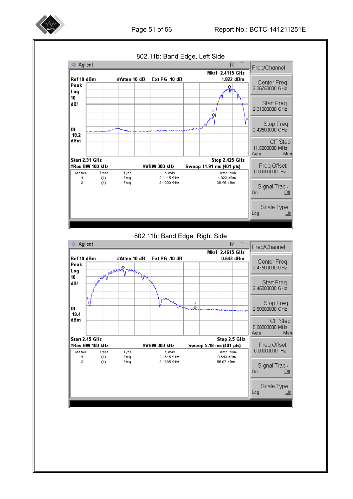





#### 802.11b: Band Edge, Right Side

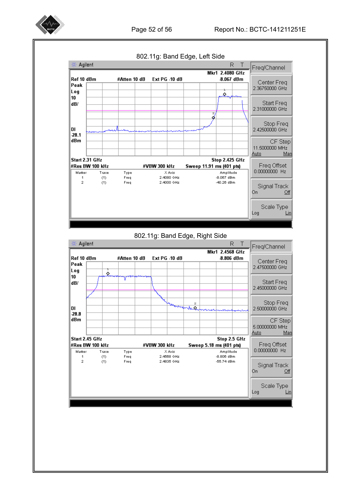

Page 52 of 56 Report No.: BCTC-141211251E



802.11g: Band Edge, Right Side

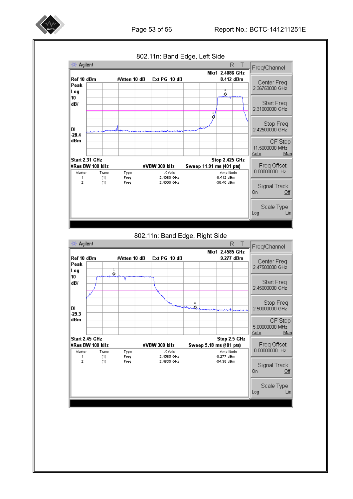

Page 53 of 56 Report No.: BCTC-141211251E



#### 802.11n: Band Edge, Right Side

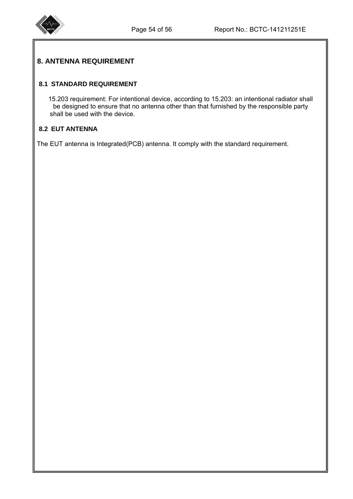

# **8. ANTENNA REQUIREMENT**

## **8.1 STANDARD REQUIREMENT**

15.203 requirement: For intentional device, according to 15.203: an intentional radiator shall be designed to ensure that no antenna other than that furnished by the responsible party shall be used with the device.

## **8.2 EUT ANTENNA**

The EUT antenna is Integrated(PCB) antenna. It comply with the standard requirement.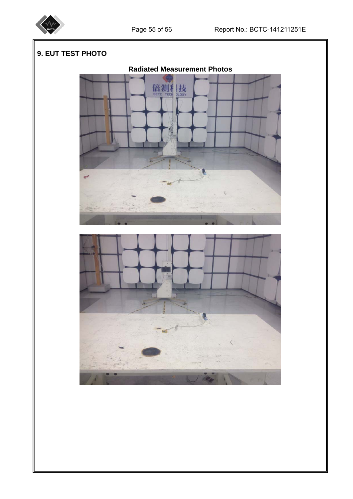